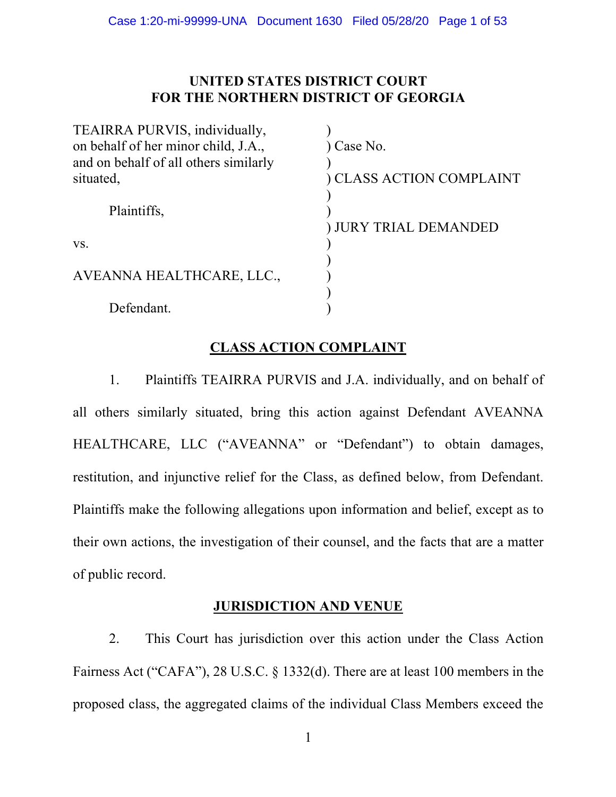# **UNITED STATES DISTRICT COURT FOR THE NORTHERN DISTRICT OF GEORGIA**

| TEAIRRA PURVIS, individually,         |                            |
|---------------------------------------|----------------------------|
| on behalf of her minor child, J.A.,   | ) Case No.                 |
| and on behalf of all others similarly |                            |
| situated,                             | ) CLASS ACTION COMPLAINT   |
|                                       |                            |
| Plaintiffs,                           |                            |
|                                       | <b>JURY TRIAL DEMANDED</b> |
| VS.                                   |                            |
|                                       |                            |
| AVEANNA HEALTHCARE, LLC.,             |                            |
|                                       |                            |
| Defendant.                            |                            |

# **CLASS ACTION COMPLAINT**

1. Plaintiffs TEAIRRA PURVIS and J.A. individually, and on behalf of all others similarly situated, bring this action against Defendant AVEANNA HEALTHCARE, LLC ("AVEANNA" or "Defendant") to obtain damages, restitution, and injunctive relief for the Class, as defined below, from Defendant. Plaintiffs make the following allegations upon information and belief, except as to their own actions, the investigation of their counsel, and the facts that are a matter of public record.

# **JURISDICTION AND VENUE**

2. This Court has jurisdiction over this action under the Class Action Fairness Act ("CAFA"), 28 U.S.C. § 1332(d). There are at least 100 members in the proposed class, the aggregated claims of the individual Class Members exceed the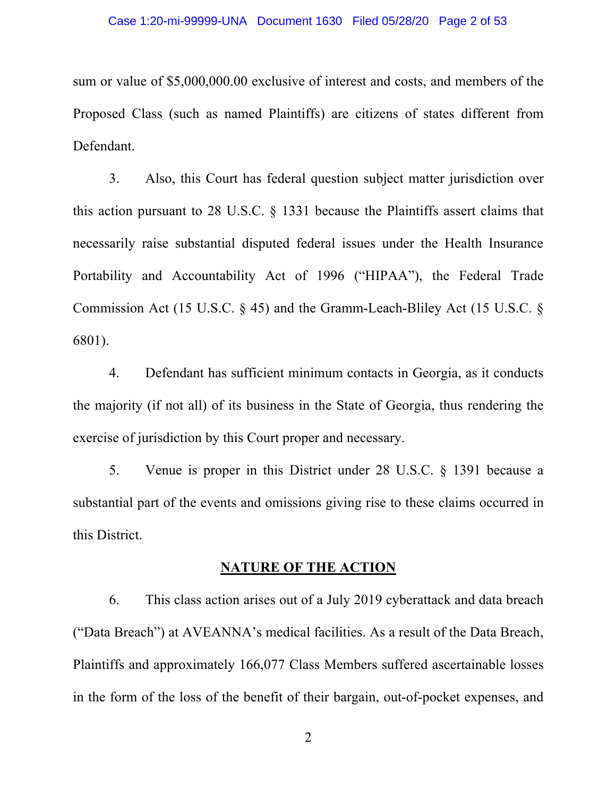sum or value of \$5,000,000.00 exclusive of interest and costs, and members of the Proposed Class (such as named Plaintiffs) are citizens of states different from Defendant.

3. Also, this Court has federal question subject matter jurisdiction over this action pursuant to 28 U.S.C. § 1331 because the Plaintiffs assert claims that necessarily raise substantial disputed federal issues under the Health Insurance Portability and Accountability Act of 1996 ("HIPAA"), the Federal Trade Commission Act (15 U.S.C. § 45) and the Gramm-Leach-Bliley Act (15 U.S.C. § 6801).

4. Defendant has sufficient minimum contacts in Georgia, as it conducts the majority (if not all) of its business in the State of Georgia, thus rendering the exercise of jurisdiction by this Court proper and necessary.

5. Venue is proper in this District under 28 U.S.C. § 1391 because a substantial part of the events and omissions giving rise to these claims occurred in this District.

## **NATURE OF THE ACTION**

6. This class action arises out of a July 2019 cyberattack and data breach ("Data Breach") at AVEANNA's medical facilities. As a result of the Data Breach, Plaintiffs and approximately 166,077 Class Members suffered ascertainable losses in the form of the loss of the benefit of their bargain, out-of-pocket expenses, and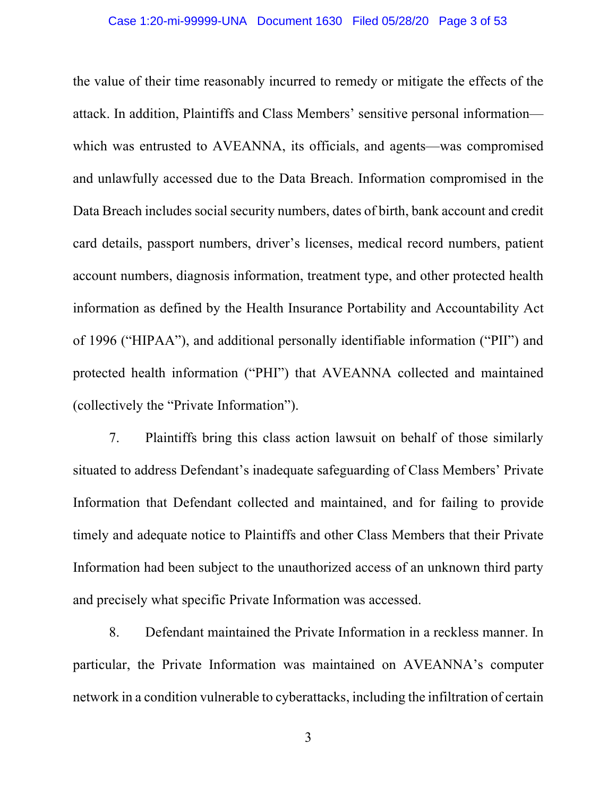the value of their time reasonably incurred to remedy or mitigate the effects of the attack. In addition, Plaintiffs and Class Members' sensitive personal information which was entrusted to AVEANNA, its officials, and agents—was compromised and unlawfully accessed due to the Data Breach. Information compromised in the Data Breach includes social security numbers, dates of birth, bank account and credit card details, passport numbers, driver's licenses, medical record numbers, patient account numbers, diagnosis information, treatment type, and other protected health information as defined by the Health Insurance Portability and Accountability Act of 1996 ("HIPAA"), and additional personally identifiable information ("PII") and protected health information ("PHI") that AVEANNA collected and maintained (collectively the "Private Information").

7. Plaintiffs bring this class action lawsuit on behalf of those similarly situated to address Defendant's inadequate safeguarding of Class Members' Private Information that Defendant collected and maintained, and for failing to provide timely and adequate notice to Plaintiffs and other Class Members that their Private Information had been subject to the unauthorized access of an unknown third party and precisely what specific Private Information was accessed.

8. Defendant maintained the Private Information in a reckless manner. In particular, the Private Information was maintained on AVEANNA's computer network in a condition vulnerable to cyberattacks, including the infiltration of certain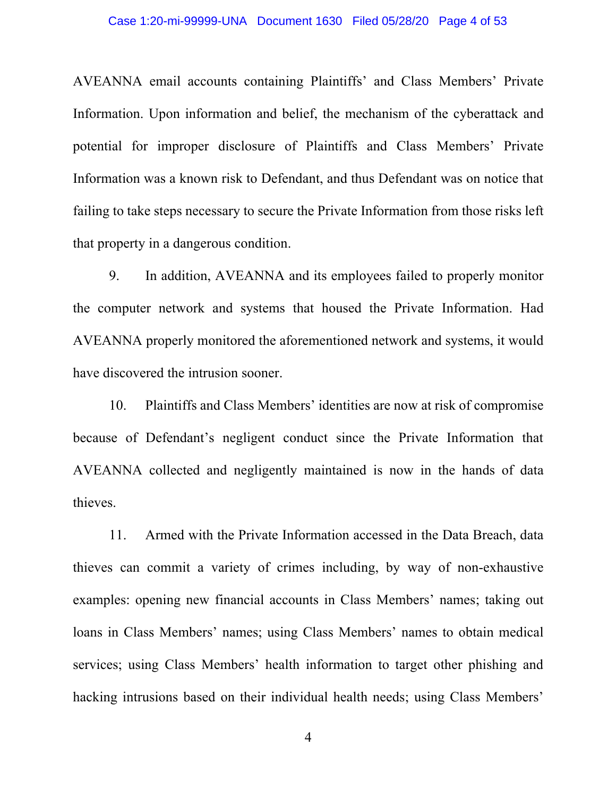## Case 1:20-mi-99999-UNA Document 1630 Filed 05/28/20 Page 4 of 53

AVEANNA email accounts containing Plaintiffs' and Class Members' Private Information. Upon information and belief, the mechanism of the cyberattack and potential for improper disclosure of Plaintiffs and Class Members' Private Information was a known risk to Defendant, and thus Defendant was on notice that failing to take steps necessary to secure the Private Information from those risks left that property in a dangerous condition.

9. In addition, AVEANNA and its employees failed to properly monitor the computer network and systems that housed the Private Information. Had AVEANNA properly monitored the aforementioned network and systems, it would have discovered the intrusion sooner.

10. Plaintiffs and Class Members' identities are now at risk of compromise because of Defendant's negligent conduct since the Private Information that AVEANNA collected and negligently maintained is now in the hands of data thieves.

11. Armed with the Private Information accessed in the Data Breach, data thieves can commit a variety of crimes including, by way of non-exhaustive examples: opening new financial accounts in Class Members' names; taking out loans in Class Members' names; using Class Members' names to obtain medical services; using Class Members' health information to target other phishing and hacking intrusions based on their individual health needs; using Class Members'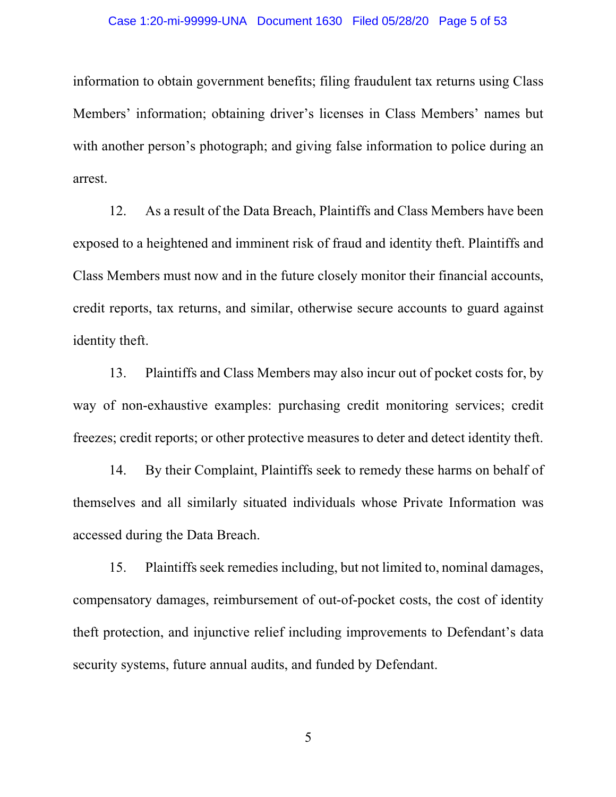## Case 1:20-mi-99999-UNA Document 1630 Filed 05/28/20 Page 5 of 53

information to obtain government benefits; filing fraudulent tax returns using Class Members' information; obtaining driver's licenses in Class Members' names but with another person's photograph; and giving false information to police during an arrest.

12. As a result of the Data Breach, Plaintiffs and Class Members have been exposed to a heightened and imminent risk of fraud and identity theft. Plaintiffs and Class Members must now and in the future closely monitor their financial accounts, credit reports, tax returns, and similar, otherwise secure accounts to guard against identity theft.

13. Plaintiffs and Class Members may also incur out of pocket costs for, by way of non-exhaustive examples: purchasing credit monitoring services; credit freezes; credit reports; or other protective measures to deter and detect identity theft.

14. By their Complaint, Plaintiffs seek to remedy these harms on behalf of themselves and all similarly situated individuals whose Private Information was accessed during the Data Breach.

15. Plaintiffs seek remedies including, but not limited to, nominal damages, compensatory damages, reimbursement of out-of-pocket costs, the cost of identity theft protection, and injunctive relief including improvements to Defendant's data security systems, future annual audits, and funded by Defendant.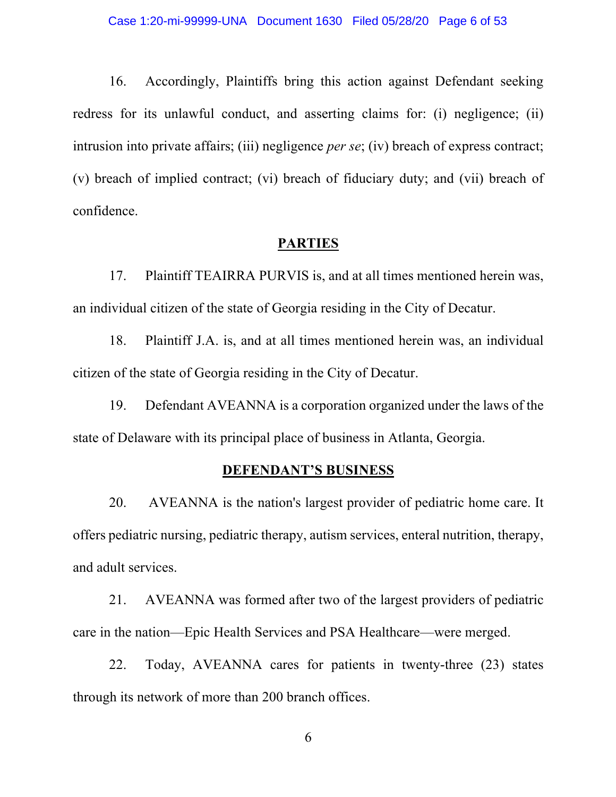16. Accordingly, Plaintiffs bring this action against Defendant seeking redress for its unlawful conduct, and asserting claims for: (i) negligence; (ii) intrusion into private affairs; (iii) negligence *per se*; (iv) breach of express contract; (v) breach of implied contract; (vi) breach of fiduciary duty; and (vii) breach of confidence.

## **PARTIES**

17. Plaintiff TEAIRRA PURVIS is, and at all times mentioned herein was, an individual citizen of the state of Georgia residing in the City of Decatur.

18. Plaintiff J.A. is, and at all times mentioned herein was, an individual citizen of the state of Georgia residing in the City of Decatur.

19. Defendant AVEANNA is a corporation organized under the laws of the state of Delaware with its principal place of business in Atlanta, Georgia.

## **DEFENDANT'S BUSINESS**

20. AVEANNA is the nation's largest provider of pediatric home care. It offers pediatric nursing, pediatric therapy, autism services, enteral nutrition, therapy, and adult services.

21. AVEANNA was formed after two of the largest providers of pediatric care in the nation—Epic Health Services and PSA Healthcare—were merged.

22. Today, AVEANNA cares for patients in twenty-three (23) states through its network of more than 200 branch offices.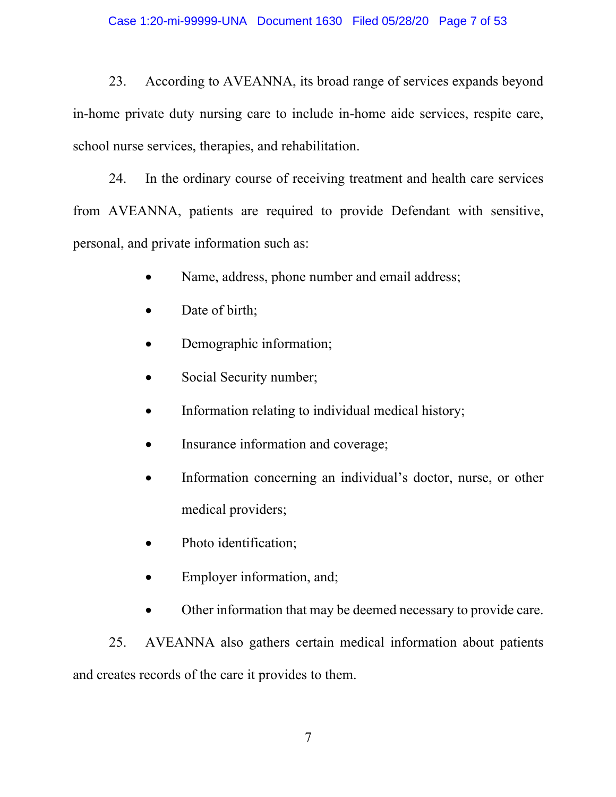23. According to AVEANNA, its broad range of services expands beyond in-home private duty nursing care to include in-home aide services, respite care, school nurse services, therapies, and rehabilitation.

24. In the ordinary course of receiving treatment and health care services from AVEANNA, patients are required to provide Defendant with sensitive, personal, and private information such as:

- Name, address, phone number and email address;
- Date of birth;
- Demographic information;
- Social Security number;
- Information relating to individual medical history;
- Insurance information and coverage;
- Information concerning an individual's doctor, nurse, or other medical providers;
- Photo identification;
- Employer information, and;
- Other information that may be deemed necessary to provide care.

25. AVEANNA also gathers certain medical information about patients and creates records of the care it provides to them.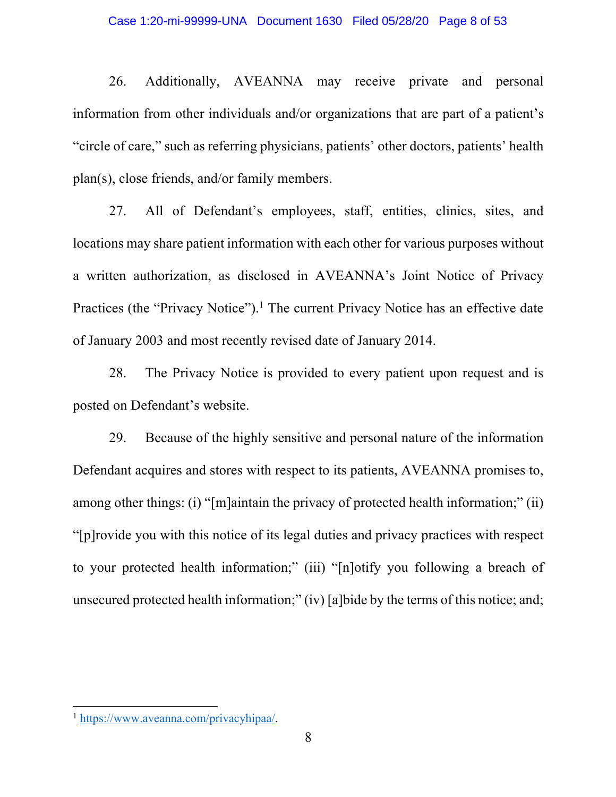26. Additionally, AVEANNA may receive private and personal information from other individuals and/or organizations that are part of a patient's "circle of care," such as referring physicians, patients' other doctors, patients' health plan(s), close friends, and/or family members.

27. All of Defendant's employees, staff, entities, clinics, sites, and locations may share patient information with each other for various purposes without a written authorization, as disclosed in AVEANNA's Joint Notice of Privacy Practices (the "Privacy Notice").<sup>1</sup> The current Privacy Notice has an effective date of January 2003 and most recently revised date of January 2014.

28. The Privacy Notice is provided to every patient upon request and is posted on Defendant's website.

29. Because of the highly sensitive and personal nature of the information Defendant acquires and stores with respect to its patients, AVEANNA promises to, among other things: (i) "[m]aintain the privacy of protected health information;" (ii) "[p]rovide you with this notice of its legal duties and privacy practices with respect to your protected health information;" (iii) "[n]otify you following a breach of unsecured protected health information;" (iv) [a]bide by the terms of this notice; and;

<sup>1</sup> https://www.aveanna.com/privacyhipaa/.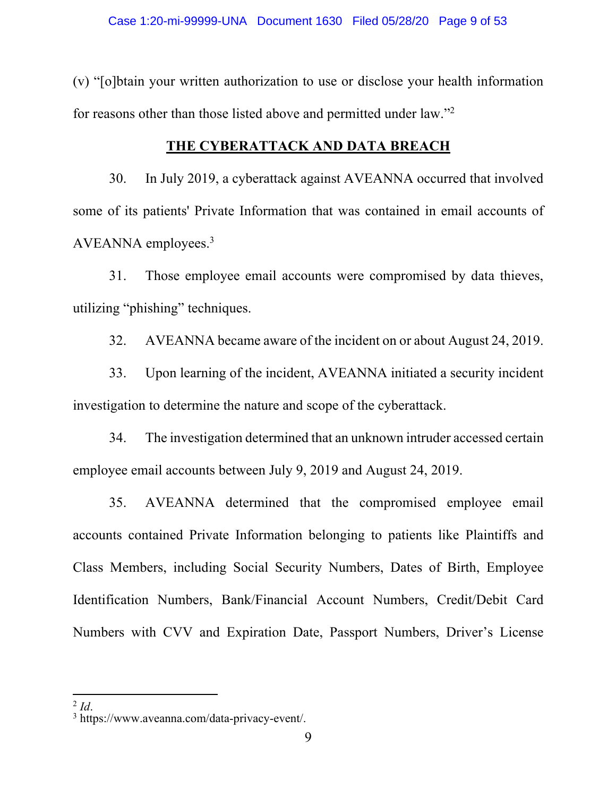(v) "[o]btain your written authorization to use or disclose your health information for reasons other than those listed above and permitted under law."2

# **THE CYBERATTACK AND DATA BREACH**

30. In July 2019, a cyberattack against AVEANNA occurred that involved some of its patients' Private Information that was contained in email accounts of AVEANNA employees.3

31. Those employee email accounts were compromised by data thieves, utilizing "phishing" techniques.

32. AVEANNA became aware of the incident on or about August 24, 2019.

33. Upon learning of the incident, AVEANNA initiated a security incident investigation to determine the nature and scope of the cyberattack.

34. The investigation determined that an unknown intruder accessed certain employee email accounts between July 9, 2019 and August 24, 2019.

35. AVEANNA determined that the compromised employee email accounts contained Private Information belonging to patients like Plaintiffs and Class Members, including Social Security Numbers, Dates of Birth, Employee Identification Numbers, Bank/Financial Account Numbers, Credit/Debit Card Numbers with CVV and Expiration Date, Passport Numbers, Driver's License

<sup>2</sup> *Id*. <sup>3</sup> https://www.aveanna.com/data-privacy-event/.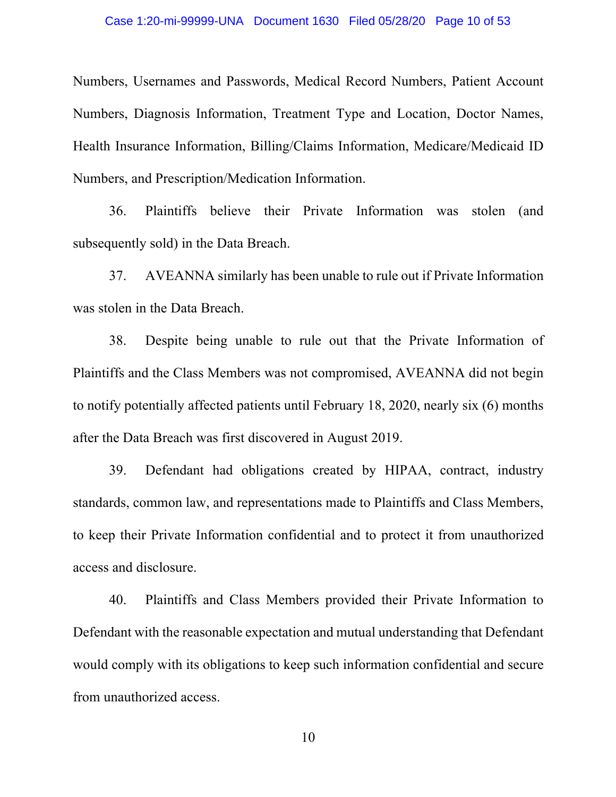Numbers, Usernames and Passwords, Medical Record Numbers, Patient Account Numbers, Diagnosis Information, Treatment Type and Location, Doctor Names, Health Insurance Information, Billing/Claims Information, Medicare/Medicaid ID Numbers, and Prescription/Medication Information.

36. Plaintiffs believe their Private Information was stolen (and subsequently sold) in the Data Breach.

37. AVEANNA similarly has been unable to rule out if Private Information was stolen in the Data Breach.

38. Despite being unable to rule out that the Private Information of Plaintiffs and the Class Members was not compromised, AVEANNA did not begin to notify potentially affected patients until February 18, 2020, nearly six (6) months after the Data Breach was first discovered in August 2019.

39. Defendant had obligations created by HIPAA, contract, industry standards, common law, and representations made to Plaintiffs and Class Members, to keep their Private Information confidential and to protect it from unauthorized access and disclosure.

40. Plaintiffs and Class Members provided their Private Information to Defendant with the reasonable expectation and mutual understanding that Defendant would comply with its obligations to keep such information confidential and secure from unauthorized access.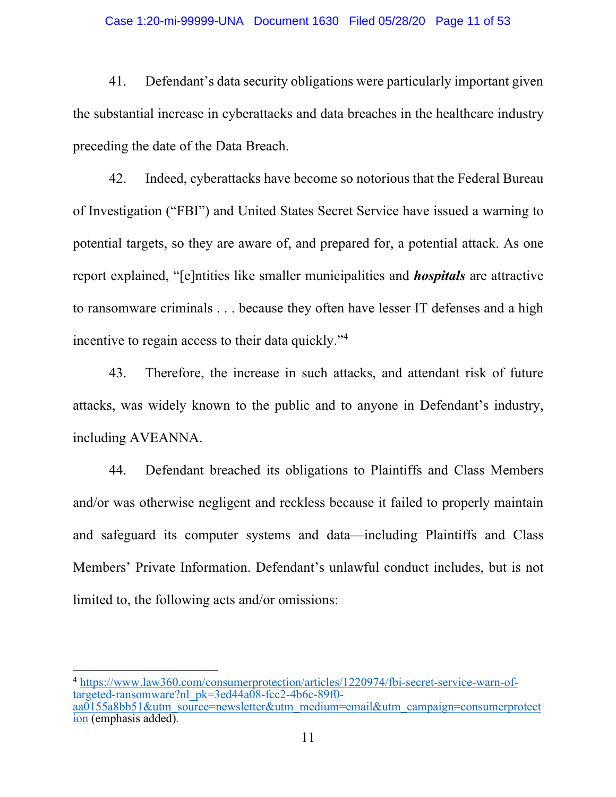## Case 1:20-mi-99999-UNA Document 1630 Filed 05/28/20 Page 11 of 53

41. Defendant's data security obligations were particularly important given the substantial increase in cyberattacks and data breaches in the healthcare industry preceding the date of the Data Breach.

42. Indeed, cyberattacks have become so notorious that the Federal Bureau of Investigation ("FBI") and United States Secret Service have issued a warning to potential targets, so they are aware of, and prepared for, a potential attack. As one report explained, "[e]ntities like smaller municipalities and *hospitals* are attractive to ransomware criminals . . . because they often have lesser IT defenses and a high incentive to regain access to their data quickly."4

43. Therefore, the increase in such attacks, and attendant risk of future attacks, was widely known to the public and to anyone in Defendant's industry, including AVEANNA.

44. Defendant breached its obligations to Plaintiffs and Class Members and/or was otherwise negligent and reckless because it failed to properly maintain and safeguard its computer systems and data—including Plaintiffs and Class Members' Private Information. Defendant's unlawful conduct includes, but is not limited to, the following acts and/or omissions:

<sup>4</sup> https://www.law360.com/consumerprotection/articles/1220974/fbi-secret-service-warn-oftargeted-ransomware?nl\_pk=3ed44a08-fcc2-4b6c-89f0aa0155a8bb51&utm\_source=newsletter&utm\_medium=email&utm\_campaign=consumerprotect ion (emphasis added).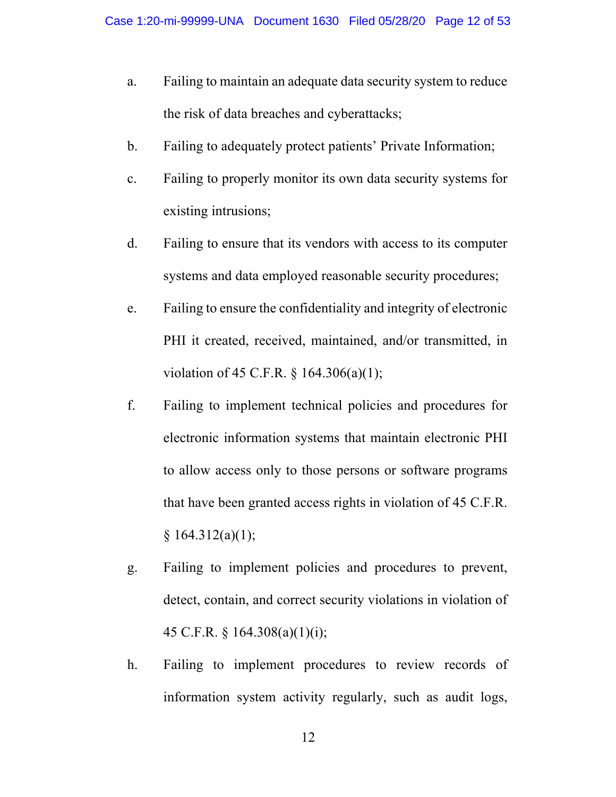- a. Failing to maintain an adequate data security system to reduce the risk of data breaches and cyberattacks;
- b. Failing to adequately protect patients' Private Information;
- c. Failing to properly monitor its own data security systems for existing intrusions;
- d. Failing to ensure that its vendors with access to its computer systems and data employed reasonable security procedures;
- e. Failing to ensure the confidentiality and integrity of electronic PHI it created, received, maintained, and/or transmitted, in violation of 45 C.F.R. § 164.306(a)(1);
- f. Failing to implement technical policies and procedures for electronic information systems that maintain electronic PHI to allow access only to those persons or software programs that have been granted access rights in violation of 45 C.F.R.  $§ 164.312(a)(1);$
- g. Failing to implement policies and procedures to prevent, detect, contain, and correct security violations in violation of 45 C.F.R. § 164.308(a)(1)(i);
- h. Failing to implement procedures to review records of information system activity regularly, such as audit logs,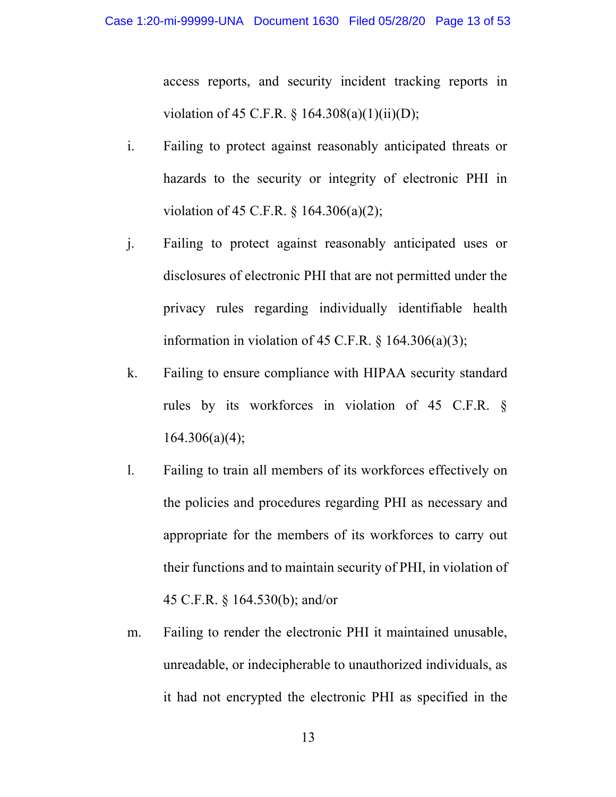access reports, and security incident tracking reports in violation of 45 C.F.R. § 164.308(a)(1)(ii)(D);

- i. Failing to protect against reasonably anticipated threats or hazards to the security or integrity of electronic PHI in violation of 45 C.F.R. § 164.306(a)(2);
- j. Failing to protect against reasonably anticipated uses or disclosures of electronic PHI that are not permitted under the privacy rules regarding individually identifiable health information in violation of 45 C.F.R.  $\S$  164.306(a)(3);
- k. Failing to ensure compliance with HIPAA security standard rules by its workforces in violation of 45 C.F.R. §  $164.306(a)(4);$
- l. Failing to train all members of its workforces effectively on the policies and procedures regarding PHI as necessary and appropriate for the members of its workforces to carry out their functions and to maintain security of PHI, in violation of 45 C.F.R. § 164.530(b); and/or
- m. Failing to render the electronic PHI it maintained unusable, unreadable, or indecipherable to unauthorized individuals, as it had not encrypted the electronic PHI as specified in the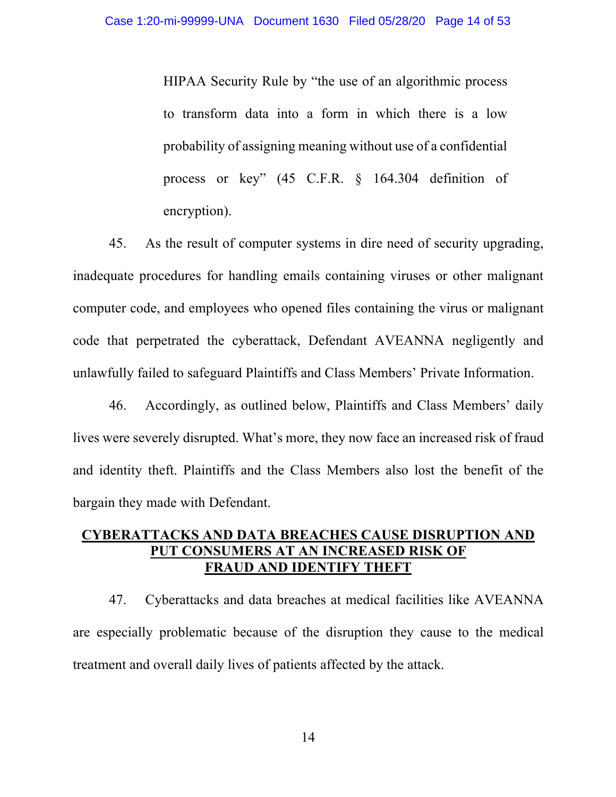HIPAA Security Rule by "the use of an algorithmic process to transform data into a form in which there is a low probability of assigning meaning without use of a confidential process or key" (45 C.F.R. § 164.304 definition of encryption).

45. As the result of computer systems in dire need of security upgrading, inadequate procedures for handling emails containing viruses or other malignant computer code, and employees who opened files containing the virus or malignant code that perpetrated the cyberattack, Defendant AVEANNA negligently and unlawfully failed to safeguard Plaintiffs and Class Members' Private Information.

46. Accordingly, as outlined below, Plaintiffs and Class Members' daily lives were severely disrupted. What's more, they now face an increased risk of fraud and identity theft. Plaintiffs and the Class Members also lost the benefit of the bargain they made with Defendant.

# **CYBERATTACKS AND DATA BREACHES CAUSE DISRUPTION AND PUT CONSUMERS AT AN INCREASED RISK OF FRAUD AND IDENTIFY THEFT**

47. Cyberattacks and data breaches at medical facilities like AVEANNA are especially problematic because of the disruption they cause to the medical treatment and overall daily lives of patients affected by the attack.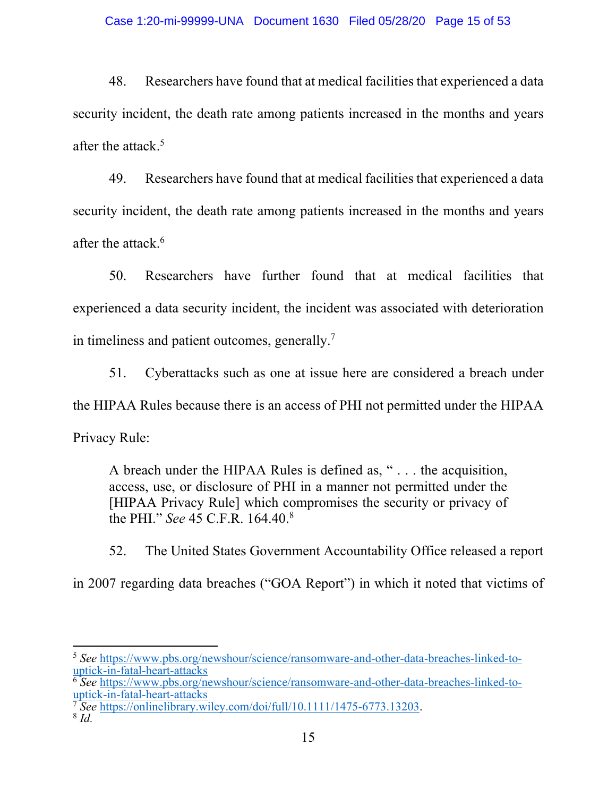48. Researchers have found that at medical facilities that experienced a data security incident, the death rate among patients increased in the months and years after the attack.<sup>5</sup>

49. Researchers have found that at medical facilities that experienced a data security incident, the death rate among patients increased in the months and years after the attack.<sup>6</sup>

50. Researchers have further found that at medical facilities that experienced a data security incident, the incident was associated with deterioration in timeliness and patient outcomes, generally.7

51. Cyberattacks such as one at issue here are considered a breach under the HIPAA Rules because there is an access of PHI not permitted under the HIPAA

Privacy Rule:

A breach under the HIPAA Rules is defined as, " . . . the acquisition, access, use, or disclosure of PHI in a manner not permitted under the [HIPAA Privacy Rule] which compromises the security or privacy of the PHI." *See* 45 C.F.R. 164.40. 8

52. The United States Government Accountability Office released a report

in 2007 regarding data breaches ("GOA Report") in which it noted that victims of

<sup>5</sup> *See* https://www.pbs.org/newshour/science/ransomware-and-other-data-breaches-linked-touptick-in-fatal-heart-attacks

<sup>6</sup> *See* https://www.pbs.org/newshour/science/ransomware-and-other-data-breaches-linked-touptick-in-fatal-heart-attacks

<sup>7</sup> *See* https://onlinelibrary.wiley.com/doi/full/10.1111/1475-6773.13203. <sup>8</sup> *Id.*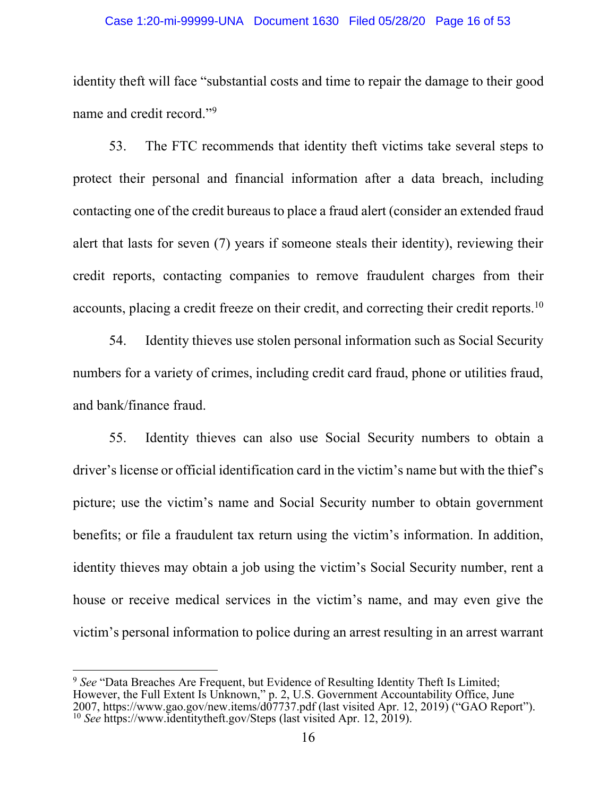#### Case 1:20-mi-99999-UNA Document 1630 Filed 05/28/20 Page 16 of 53

identity theft will face "substantial costs and time to repair the damage to their good name and credit record."<sup>9</sup>

53. The FTC recommends that identity theft victims take several steps to protect their personal and financial information after a data breach, including contacting one of the credit bureaus to place a fraud alert (consider an extended fraud alert that lasts for seven (7) years if someone steals their identity), reviewing their credit reports, contacting companies to remove fraudulent charges from their accounts, placing a credit freeze on their credit, and correcting their credit reports.<sup>10</sup>

54. Identity thieves use stolen personal information such as Social Security numbers for a variety of crimes, including credit card fraud, phone or utilities fraud, and bank/finance fraud.

55. Identity thieves can also use Social Security numbers to obtain a driver's license or official identification card in the victim's name but with the thief's picture; use the victim's name and Social Security number to obtain government benefits; or file a fraudulent tax return using the victim's information. In addition, identity thieves may obtain a job using the victim's Social Security number, rent a house or receive medical services in the victim's name, and may even give the victim's personal information to police during an arrest resulting in an arrest warrant

<sup>&</sup>lt;sup>9</sup> See "Data Breaches Are Frequent, but Evidence of Resulting Identity Theft Is Limited: However, the Full Extent Is Unknown," p. 2, U.S. Government Accountability Office, June 2007, https://www.gao.gov/new.items/d07737.pdf (last visited Apr. 12, 2019) ("GAO Report"). <sup>10</sup> *See* https://www.identitytheft.gov/Steps (last visited Apr. 12, 2019).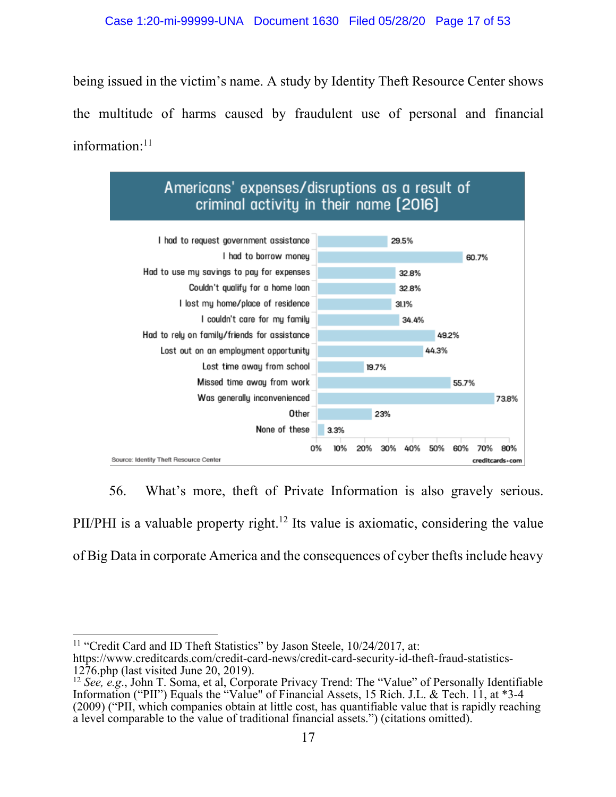## Case 1:20-mi-99999-UNA Document 1630 Filed 05/28/20 Page 17 of 53

being issued in the victim's name. A study by Identity Theft Resource Center shows the multitude of harms caused by fraudulent use of personal and financial information:<sup>11</sup>



56. What's more, theft of Private Information is also gravely serious. PII/PHI is a valuable property right.<sup>12</sup> Its value is axiomatic, considering the value of Big Data in corporate America and the consequences of cyber thefts include heavy

<sup>11</sup> "Credit Card and ID Theft Statistics" by Jason Steele, 10/24/2017, at: https://www.creditcards.com/credit-card-news/credit-card-security-id-theft-fraud-statistics-1276.php (last visited June 20, 2019).

<sup>12</sup> *See, e.g*., John T. Soma, et al, Corporate Privacy Trend: The "Value" of Personally Identifiable Information ("PII") Equals the "Value" of Financial Assets, 15 Rich. J.L. & Tech. 11, at \*3-4 (2009) ("PII, which companies obtain at little cost, has quantifiable value that is rapidly reaching a level comparable to the value of traditional financial assets.") (citations omitted).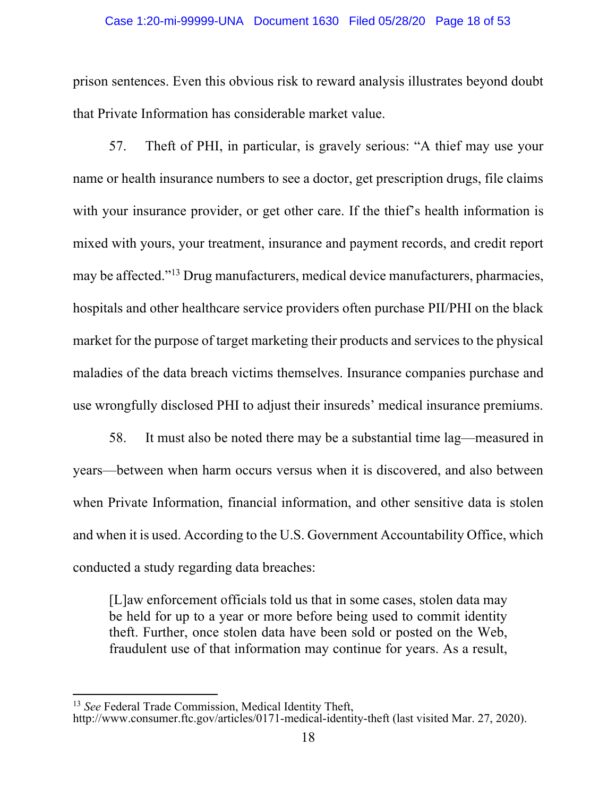## Case 1:20-mi-99999-UNA Document 1630 Filed 05/28/20 Page 18 of 53

prison sentences. Even this obvious risk to reward analysis illustrates beyond doubt that Private Information has considerable market value.

57. Theft of PHI, in particular, is gravely serious: "A thief may use your name or health insurance numbers to see a doctor, get prescription drugs, file claims with your insurance provider, or get other care. If the thief's health information is mixed with yours, your treatment, insurance and payment records, and credit report may be affected."13 Drug manufacturers, medical device manufacturers, pharmacies, hospitals and other healthcare service providers often purchase PII/PHI on the black market for the purpose of target marketing their products and services to the physical maladies of the data breach victims themselves. Insurance companies purchase and use wrongfully disclosed PHI to adjust their insureds' medical insurance premiums.

58. It must also be noted there may be a substantial time lag—measured in years—between when harm occurs versus when it is discovered, and also between when Private Information, financial information, and other sensitive data is stolen and when it is used. According to the U.S. Government Accountability Office, which conducted a study regarding data breaches:

[L]aw enforcement officials told us that in some cases, stolen data may be held for up to a year or more before being used to commit identity theft. Further, once stolen data have been sold or posted on the Web, fraudulent use of that information may continue for years. As a result,

<sup>13</sup> *See* Federal Trade Commission, Medical Identity Theft,

http://www.consumer.ftc.gov/articles/0171-medical-identity-theft (last visited Mar. 27, 2020).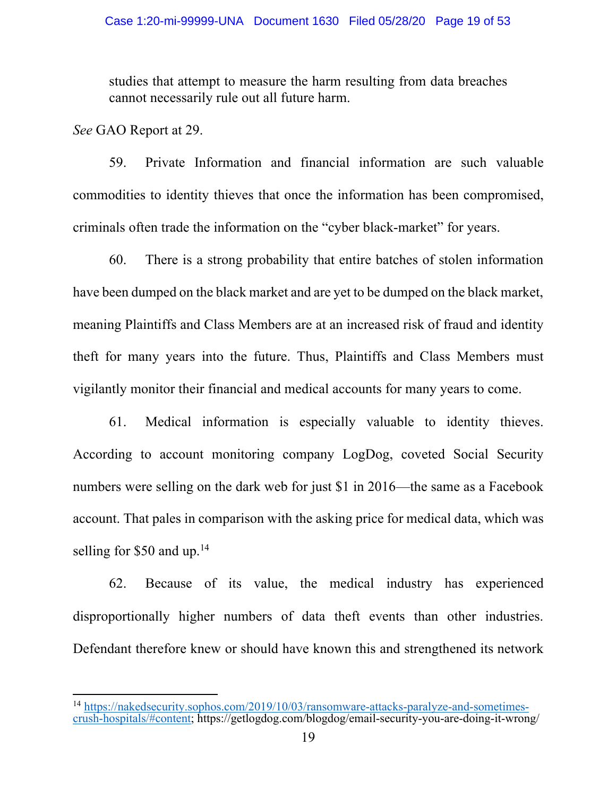studies that attempt to measure the harm resulting from data breaches cannot necessarily rule out all future harm.

*See* GAO Report at 29.

59. Private Information and financial information are such valuable commodities to identity thieves that once the information has been compromised, criminals often trade the information on the "cyber black-market" for years.

60. There is a strong probability that entire batches of stolen information have been dumped on the black market and are yet to be dumped on the black market, meaning Plaintiffs and Class Members are at an increased risk of fraud and identity theft for many years into the future. Thus, Plaintiffs and Class Members must vigilantly monitor their financial and medical accounts for many years to come.

61. Medical information is especially valuable to identity thieves. According to account monitoring company LogDog, coveted Social Security numbers were selling on the dark web for just \$1 in 2016—the same as a Facebook account. That pales in comparison with the asking price for medical data, which was selling for \$50 and up.<sup>14</sup>

62. Because of its value, the medical industry has experienced disproportionally higher numbers of data theft events than other industries. Defendant therefore knew or should have known this and strengthened its network

<sup>14</sup> https://nakedsecurity.sophos.com/2019/10/03/ransomware-attacks-paralyze-and-sometimescrush-hospitals/#content; https://getlogdog.com/blogdog/email-security-you-are-doing-it-wrong/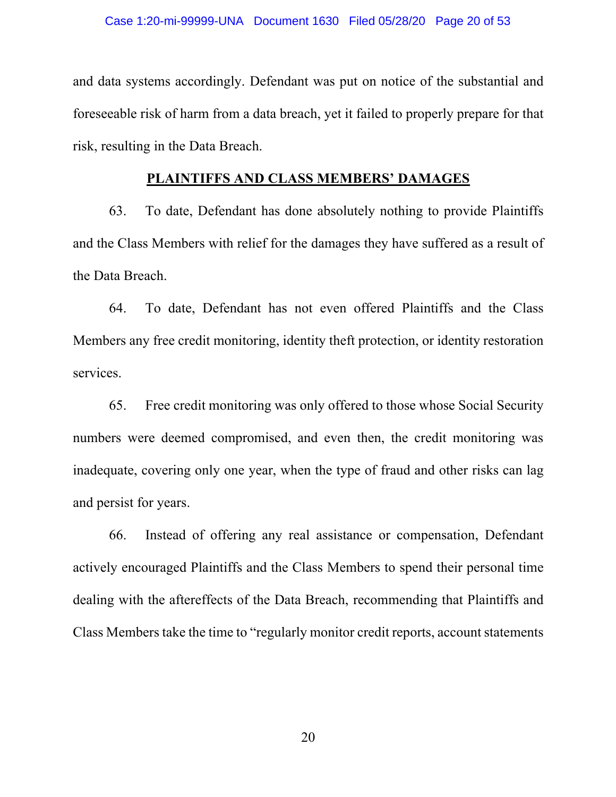and data systems accordingly. Defendant was put on notice of the substantial and foreseeable risk of harm from a data breach, yet it failed to properly prepare for that risk, resulting in the Data Breach.

## **PLAINTIFFS AND CLASS MEMBERS' DAMAGES**

63. To date, Defendant has done absolutely nothing to provide Plaintiffs and the Class Members with relief for the damages they have suffered as a result of the Data Breach.

64. To date, Defendant has not even offered Plaintiffs and the Class Members any free credit monitoring, identity theft protection, or identity restoration services.

65. Free credit monitoring was only offered to those whose Social Security numbers were deemed compromised, and even then, the credit monitoring was inadequate, covering only one year, when the type of fraud and other risks can lag and persist for years.

66. Instead of offering any real assistance or compensation, Defendant actively encouraged Plaintiffs and the Class Members to spend their personal time dealing with the aftereffects of the Data Breach, recommending that Plaintiffs and Class Members take the time to "regularly monitor credit reports, account statements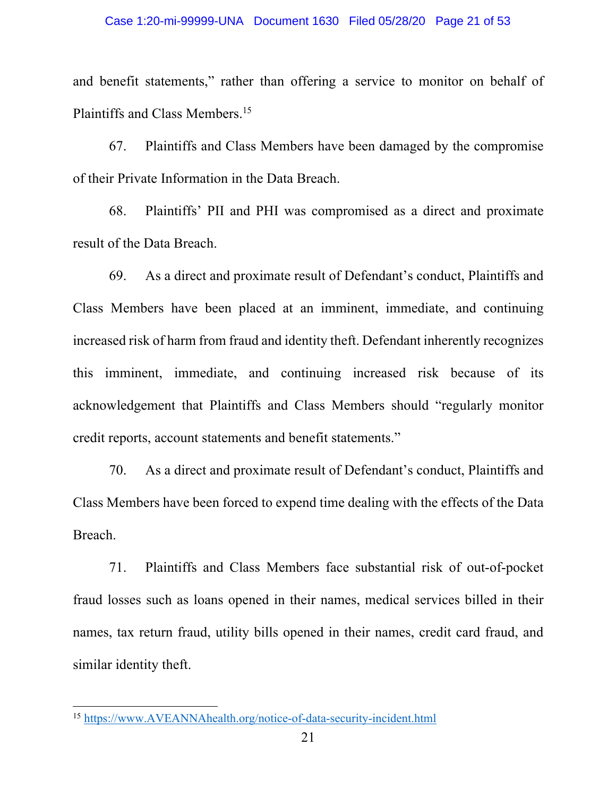and benefit statements," rather than offering a service to monitor on behalf of Plaintiffs and Class Members.<sup>15</sup>

67. Plaintiffs and Class Members have been damaged by the compromise of their Private Information in the Data Breach.

68. Plaintiffs' PII and PHI was compromised as a direct and proximate result of the Data Breach.

69. As a direct and proximate result of Defendant's conduct, Plaintiffs and Class Members have been placed at an imminent, immediate, and continuing increased risk of harm from fraud and identity theft. Defendant inherently recognizes this imminent, immediate, and continuing increased risk because of its acknowledgement that Plaintiffs and Class Members should "regularly monitor credit reports, account statements and benefit statements."

70. As a direct and proximate result of Defendant's conduct, Plaintiffs and Class Members have been forced to expend time dealing with the effects of the Data Breach.

71. Plaintiffs and Class Members face substantial risk of out-of-pocket fraud losses such as loans opened in their names, medical services billed in their names, tax return fraud, utility bills opened in their names, credit card fraud, and similar identity theft.

<sup>15</sup> https://www.AVEANNAhealth.org/notice-of-data-security-incident.html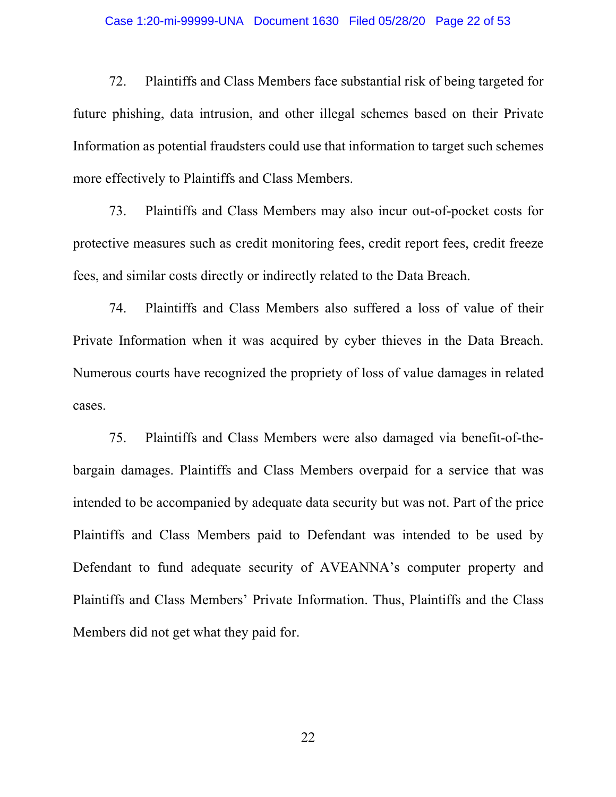## Case 1:20-mi-99999-UNA Document 1630 Filed 05/28/20 Page 22 of 53

72. Plaintiffs and Class Members face substantial risk of being targeted for future phishing, data intrusion, and other illegal schemes based on their Private Information as potential fraudsters could use that information to target such schemes more effectively to Plaintiffs and Class Members.

73. Plaintiffs and Class Members may also incur out-of-pocket costs for protective measures such as credit monitoring fees, credit report fees, credit freeze fees, and similar costs directly or indirectly related to the Data Breach.

74. Plaintiffs and Class Members also suffered a loss of value of their Private Information when it was acquired by cyber thieves in the Data Breach. Numerous courts have recognized the propriety of loss of value damages in related cases.

75. Plaintiffs and Class Members were also damaged via benefit-of-thebargain damages. Plaintiffs and Class Members overpaid for a service that was intended to be accompanied by adequate data security but was not. Part of the price Plaintiffs and Class Members paid to Defendant was intended to be used by Defendant to fund adequate security of AVEANNA's computer property and Plaintiffs and Class Members' Private Information. Thus, Plaintiffs and the Class Members did not get what they paid for.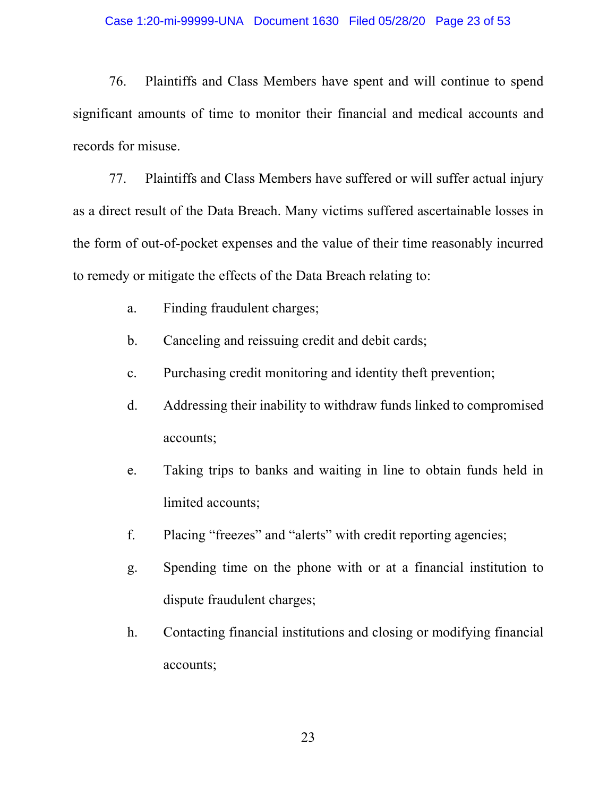## Case 1:20-mi-99999-UNA Document 1630 Filed 05/28/20 Page 23 of 53

76. Plaintiffs and Class Members have spent and will continue to spend significant amounts of time to monitor their financial and medical accounts and records for misuse.

77. Plaintiffs and Class Members have suffered or will suffer actual injury as a direct result of the Data Breach. Many victims suffered ascertainable losses in the form of out-of-pocket expenses and the value of their time reasonably incurred to remedy or mitigate the effects of the Data Breach relating to:

- a. Finding fraudulent charges;
- b. Canceling and reissuing credit and debit cards;
- c. Purchasing credit monitoring and identity theft prevention;
- d. Addressing their inability to withdraw funds linked to compromised accounts;
- e. Taking trips to banks and waiting in line to obtain funds held in limited accounts;
- f. Placing "freezes" and "alerts" with credit reporting agencies;
- g. Spending time on the phone with or at a financial institution to dispute fraudulent charges;
- h. Contacting financial institutions and closing or modifying financial accounts;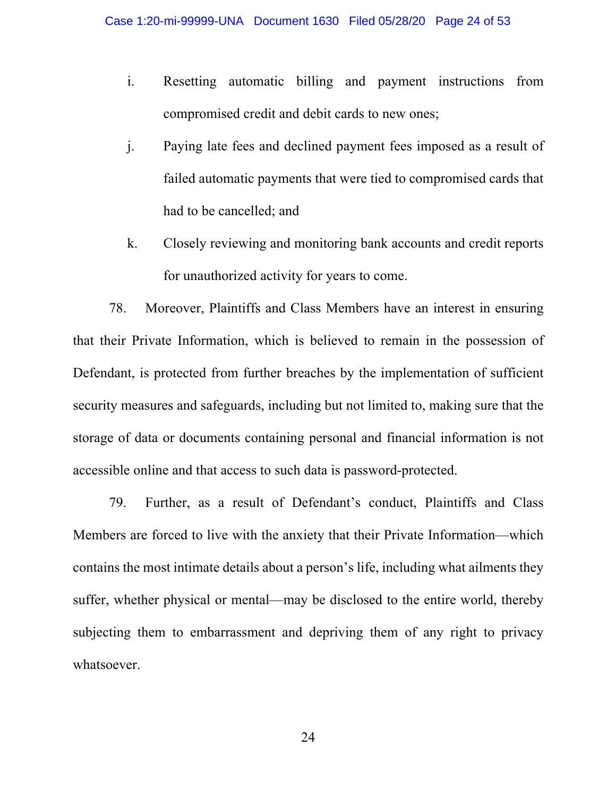- i. Resetting automatic billing and payment instructions from compromised credit and debit cards to new ones;
- j. Paying late fees and declined payment fees imposed as a result of failed automatic payments that were tied to compromised cards that had to be cancelled; and
- k. Closely reviewing and monitoring bank accounts and credit reports for unauthorized activity for years to come.

78. Moreover, Plaintiffs and Class Members have an interest in ensuring that their Private Information, which is believed to remain in the possession of Defendant, is protected from further breaches by the implementation of sufficient security measures and safeguards, including but not limited to, making sure that the storage of data or documents containing personal and financial information is not accessible online and that access to such data is password-protected.

79. Further, as a result of Defendant's conduct, Plaintiffs and Class Members are forced to live with the anxiety that their Private Information—which contains the most intimate details about a person's life, including what ailments they suffer, whether physical or mental—may be disclosed to the entire world, thereby subjecting them to embarrassment and depriving them of any right to privacy whatsoever.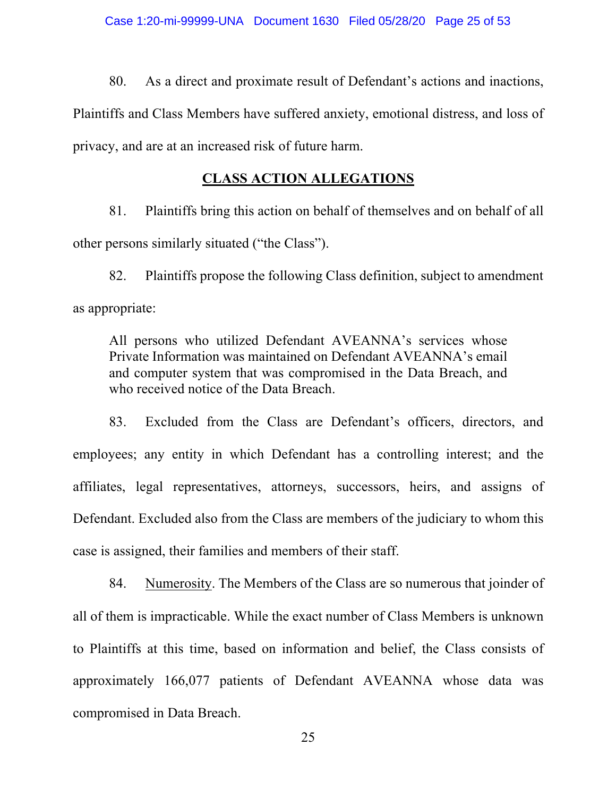80. As a direct and proximate result of Defendant's actions and inactions, Plaintiffs and Class Members have suffered anxiety, emotional distress, and loss of privacy, and are at an increased risk of future harm.

# **CLASS ACTION ALLEGATIONS**

81. Plaintiffs bring this action on behalf of themselves and on behalf of all other persons similarly situated ("the Class").

82. Plaintiffs propose the following Class definition, subject to amendment as appropriate:

All persons who utilized Defendant AVEANNA's services whose Private Information was maintained on Defendant AVEANNA's email and computer system that was compromised in the Data Breach, and who received notice of the Data Breach.

83. Excluded from the Class are Defendant's officers, directors, and employees; any entity in which Defendant has a controlling interest; and the affiliates, legal representatives, attorneys, successors, heirs, and assigns of Defendant. Excluded also from the Class are members of the judiciary to whom this case is assigned, their families and members of their staff.

84. Numerosity. The Members of the Class are so numerous that joinder of all of them is impracticable. While the exact number of Class Members is unknown to Plaintiffs at this time, based on information and belief, the Class consists of approximately 166,077 patients of Defendant AVEANNA whose data was compromised in Data Breach.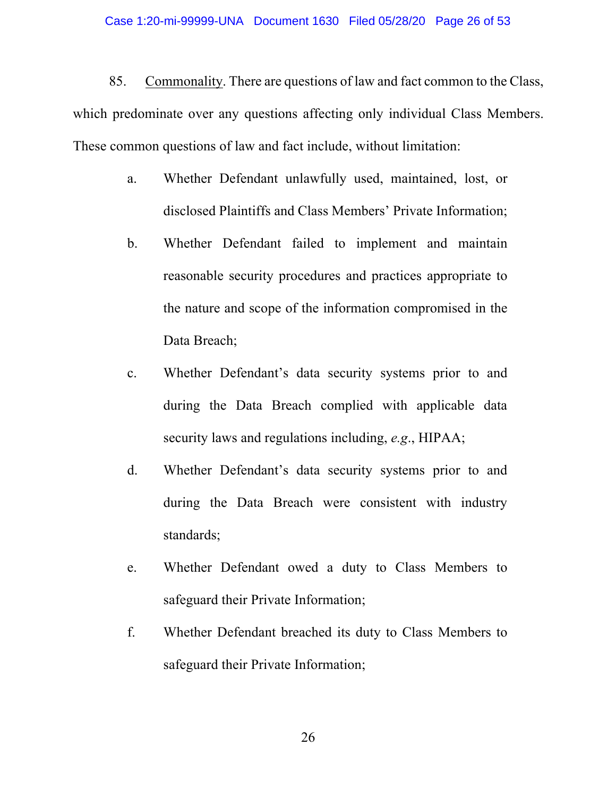85. Commonality. There are questions of law and fact common to the Class, which predominate over any questions affecting only individual Class Members. These common questions of law and fact include, without limitation:

- a. Whether Defendant unlawfully used, maintained, lost, or disclosed Plaintiffs and Class Members' Private Information;
- b. Whether Defendant failed to implement and maintain reasonable security procedures and practices appropriate to the nature and scope of the information compromised in the Data Breach;
- c. Whether Defendant's data security systems prior to and during the Data Breach complied with applicable data security laws and regulations including, *e.g*., HIPAA;
- d. Whether Defendant's data security systems prior to and during the Data Breach were consistent with industry standards;
- e. Whether Defendant owed a duty to Class Members to safeguard their Private Information;
- f. Whether Defendant breached its duty to Class Members to safeguard their Private Information;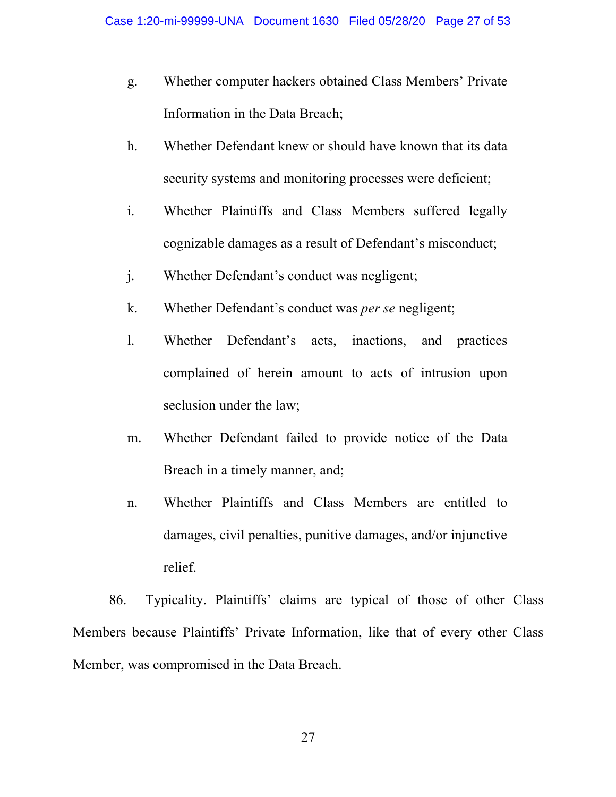- g. Whether computer hackers obtained Class Members' Private Information in the Data Breach;
- h. Whether Defendant knew or should have known that its data security systems and monitoring processes were deficient;
- i. Whether Plaintiffs and Class Members suffered legally cognizable damages as a result of Defendant's misconduct;
- j. Whether Defendant's conduct was negligent;
- k. Whether Defendant's conduct was *per se* negligent;
- l. Whether Defendant's acts, inactions, and practices complained of herein amount to acts of intrusion upon seclusion under the law;
- m. Whether Defendant failed to provide notice of the Data Breach in a timely manner, and;
- n. Whether Plaintiffs and Class Members are entitled to damages, civil penalties, punitive damages, and/or injunctive relief.

86. Typicality. Plaintiffs' claims are typical of those of other Class Members because Plaintiffs' Private Information, like that of every other Class Member, was compromised in the Data Breach.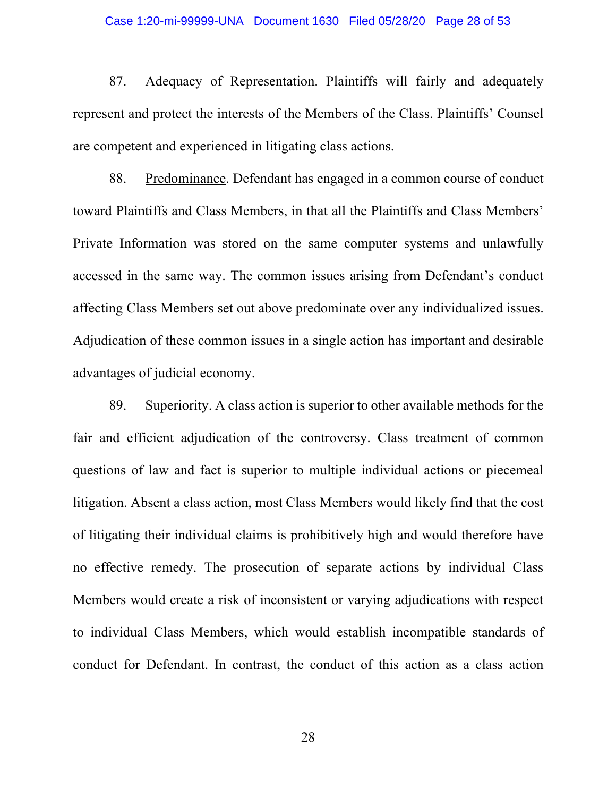## Case 1:20-mi-99999-UNA Document 1630 Filed 05/28/20 Page 28 of 53

87. Adequacy of Representation. Plaintiffs will fairly and adequately represent and protect the interests of the Members of the Class. Plaintiffs' Counsel are competent and experienced in litigating class actions.

88. Predominance. Defendant has engaged in a common course of conduct toward Plaintiffs and Class Members, in that all the Plaintiffs and Class Members' Private Information was stored on the same computer systems and unlawfully accessed in the same way. The common issues arising from Defendant's conduct affecting Class Members set out above predominate over any individualized issues. Adjudication of these common issues in a single action has important and desirable advantages of judicial economy.

89. Superiority. A class action is superior to other available methods for the fair and efficient adjudication of the controversy. Class treatment of common questions of law and fact is superior to multiple individual actions or piecemeal litigation. Absent a class action, most Class Members would likely find that the cost of litigating their individual claims is prohibitively high and would therefore have no effective remedy. The prosecution of separate actions by individual Class Members would create a risk of inconsistent or varying adjudications with respect to individual Class Members, which would establish incompatible standards of conduct for Defendant. In contrast, the conduct of this action as a class action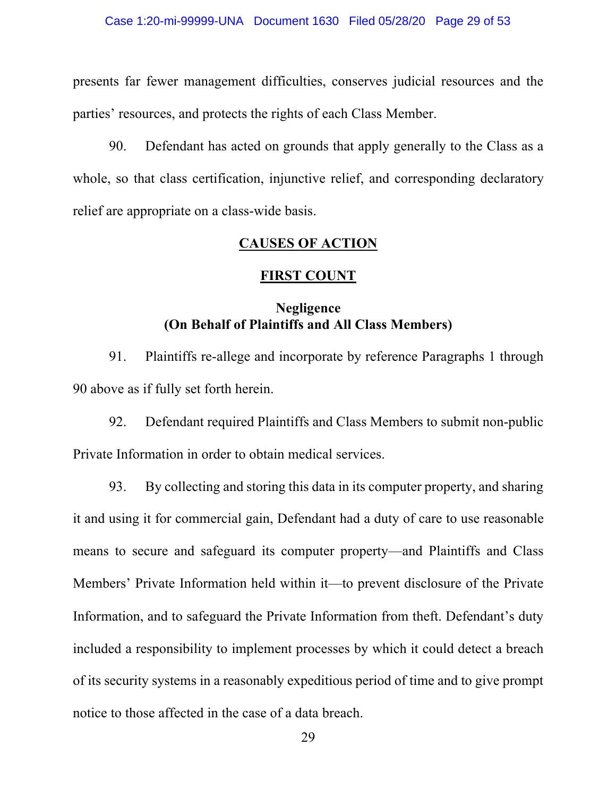presents far fewer management difficulties, conserves judicial resources and the parties' resources, and protects the rights of each Class Member.

90. Defendant has acted on grounds that apply generally to the Class as a whole, so that class certification, injunctive relief, and corresponding declaratory relief are appropriate on a class-wide basis.

## **CAUSES OF ACTION**

## **FIRST COUNT**

## **Negligence (On Behalf of Plaintiffs and All Class Members)**

91. Plaintiffs re-allege and incorporate by reference Paragraphs 1 through 90 above as if fully set forth herein.

92. Defendant required Plaintiffs and Class Members to submit non-public Private Information in order to obtain medical services.

93. By collecting and storing this data in its computer property, and sharing it and using it for commercial gain, Defendant had a duty of care to use reasonable means to secure and safeguard its computer property—and Plaintiffs and Class Members' Private Information held within it—to prevent disclosure of the Private Information, and to safeguard the Private Information from theft. Defendant's duty included a responsibility to implement processes by which it could detect a breach of its security systems in a reasonably expeditious period of time and to give prompt notice to those affected in the case of a data breach.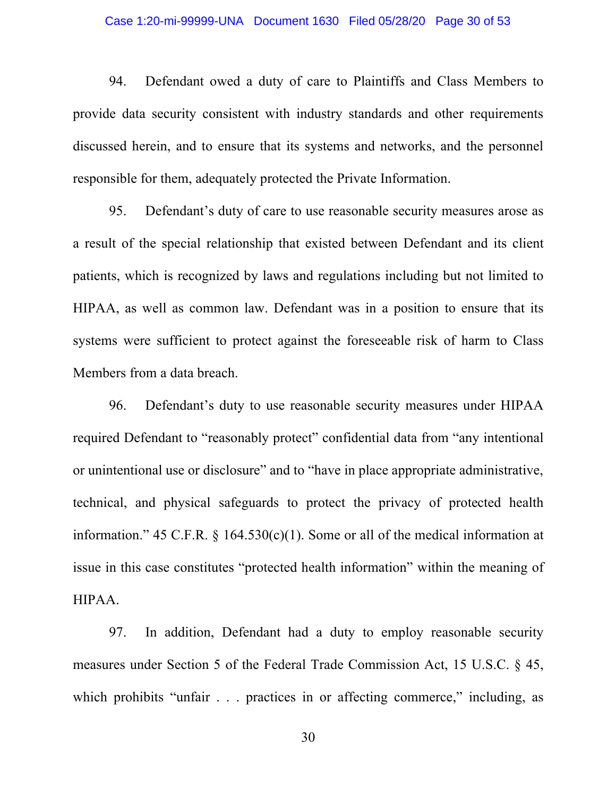## Case 1:20-mi-99999-UNA Document 1630 Filed 05/28/20 Page 30 of 53

94. Defendant owed a duty of care to Plaintiffs and Class Members to provide data security consistent with industry standards and other requirements discussed herein, and to ensure that its systems and networks, and the personnel responsible for them, adequately protected the Private Information.

95. Defendant's duty of care to use reasonable security measures arose as a result of the special relationship that existed between Defendant and its client patients, which is recognized by laws and regulations including but not limited to HIPAA, as well as common law. Defendant was in a position to ensure that its systems were sufficient to protect against the foreseeable risk of harm to Class Members from a data breach.

96. Defendant's duty to use reasonable security measures under HIPAA required Defendant to "reasonably protect" confidential data from "any intentional or unintentional use or disclosure" and to "have in place appropriate administrative, technical, and physical safeguards to protect the privacy of protected health information." 45 C.F.R.  $\frac{1}{9}$  164.530(c)(1). Some or all of the medical information at issue in this case constitutes "protected health information" within the meaning of HIPAA.

97. In addition, Defendant had a duty to employ reasonable security measures under Section 5 of the Federal Trade Commission Act, 15 U.S.C. § 45, which prohibits "unfair . . . practices in or affecting commerce," including, as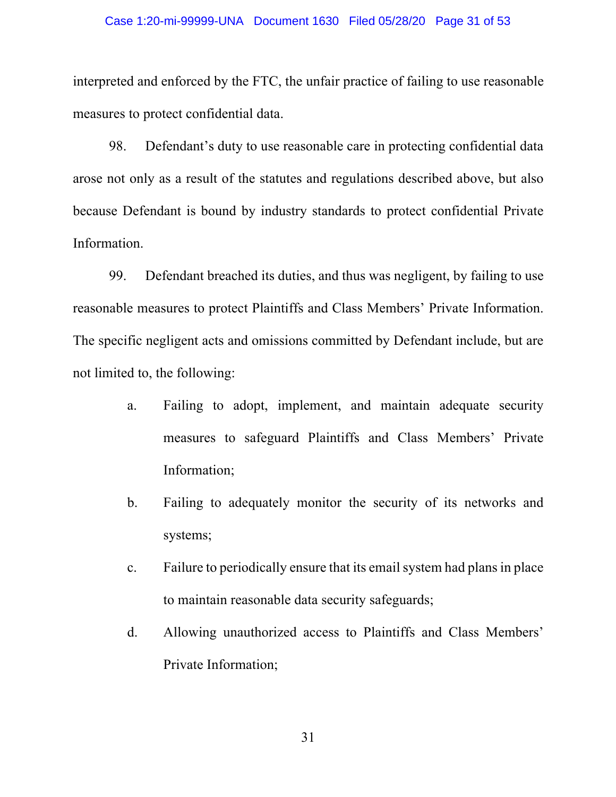## Case 1:20-mi-99999-UNA Document 1630 Filed 05/28/20 Page 31 of 53

interpreted and enforced by the FTC, the unfair practice of failing to use reasonable measures to protect confidential data.

98. Defendant's duty to use reasonable care in protecting confidential data arose not only as a result of the statutes and regulations described above, but also because Defendant is bound by industry standards to protect confidential Private Information.

99. Defendant breached its duties, and thus was negligent, by failing to use reasonable measures to protect Plaintiffs and Class Members' Private Information. The specific negligent acts and omissions committed by Defendant include, but are not limited to, the following:

- a. Failing to adopt, implement, and maintain adequate security measures to safeguard Plaintiffs and Class Members' Private Information;
- b. Failing to adequately monitor the security of its networks and systems;
- c. Failure to periodically ensure that its email system had plans in place to maintain reasonable data security safeguards;
- d. Allowing unauthorized access to Plaintiffs and Class Members' Private Information;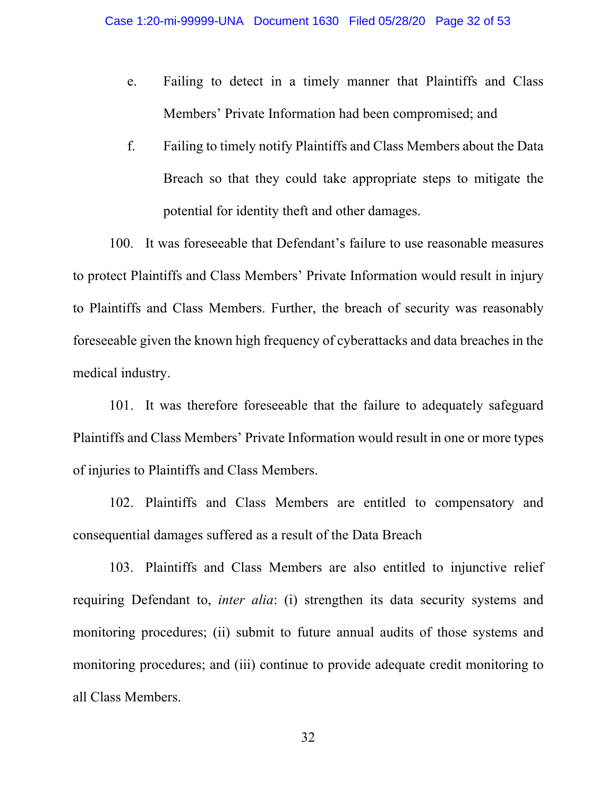- e. Failing to detect in a timely manner that Plaintiffs and Class Members' Private Information had been compromised; and
- f. Failing to timely notify Plaintiffs and Class Members about the Data Breach so that they could take appropriate steps to mitigate the potential for identity theft and other damages.

100. It was foreseeable that Defendant's failure to use reasonable measures to protect Plaintiffs and Class Members' Private Information would result in injury to Plaintiffs and Class Members. Further, the breach of security was reasonably foreseeable given the known high frequency of cyberattacks and data breaches in the medical industry.

101. It was therefore foreseeable that the failure to adequately safeguard Plaintiffs and Class Members' Private Information would result in one or more types of injuries to Plaintiffs and Class Members.

102. Plaintiffs and Class Members are entitled to compensatory and consequential damages suffered as a result of the Data Breach

103. Plaintiffs and Class Members are also entitled to injunctive relief requiring Defendant to, *inter alia*: (i) strengthen its data security systems and monitoring procedures; (ii) submit to future annual audits of those systems and monitoring procedures; and (iii) continue to provide adequate credit monitoring to all Class Members.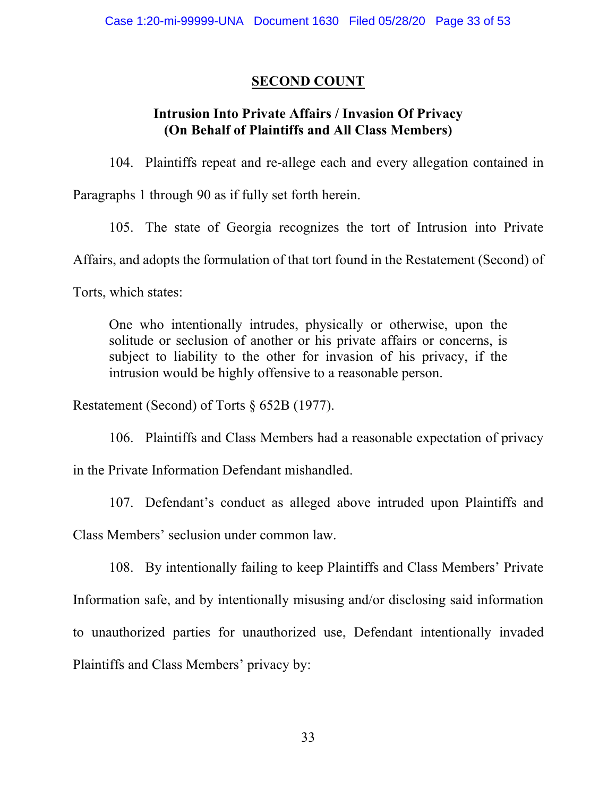# **SECOND COUNT**

# **Intrusion Into Private Affairs / Invasion Of Privacy (On Behalf of Plaintiffs and All Class Members)**

104. Plaintiffs repeat and re-allege each and every allegation contained in Paragraphs 1 through 90 as if fully set forth herein.

105. The state of Georgia recognizes the tort of Intrusion into Private Affairs, and adopts the formulation of that tort found in the Restatement (Second) of

Torts, which states:

One who intentionally intrudes, physically or otherwise, upon the solitude or seclusion of another or his private affairs or concerns, is subject to liability to the other for invasion of his privacy, if the intrusion would be highly offensive to a reasonable person.

Restatement (Second) of Torts § 652B (1977).

106. Plaintiffs and Class Members had a reasonable expectation of privacy in the Private Information Defendant mishandled.

107. Defendant's conduct as alleged above intruded upon Plaintiffs and Class Members' seclusion under common law.

108. By intentionally failing to keep Plaintiffs and Class Members' Private Information safe, and by intentionally misusing and/or disclosing said information to unauthorized parties for unauthorized use, Defendant intentionally invaded Plaintiffs and Class Members' privacy by: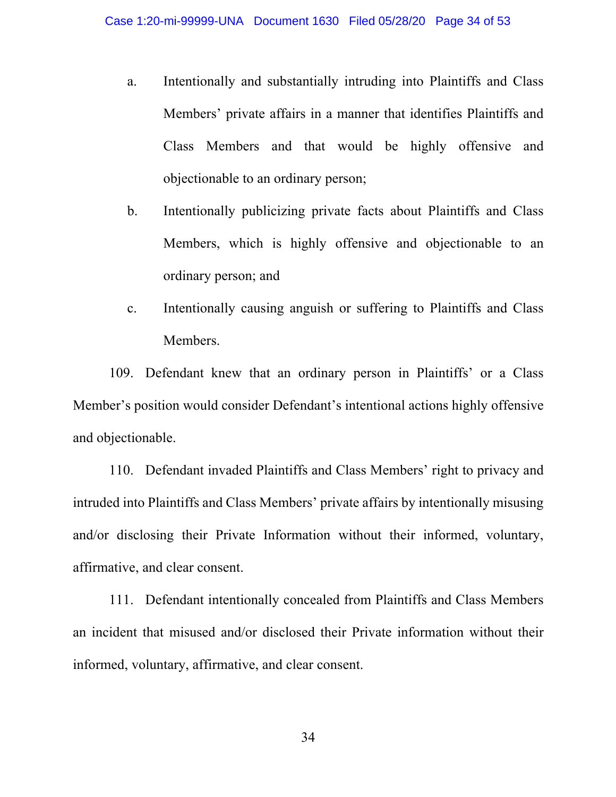- a. Intentionally and substantially intruding into Plaintiffs and Class Members' private affairs in a manner that identifies Plaintiffs and Class Members and that would be highly offensive and objectionable to an ordinary person;
- b. Intentionally publicizing private facts about Plaintiffs and Class Members, which is highly offensive and objectionable to an ordinary person; and
- c. Intentionally causing anguish or suffering to Plaintiffs and Class Members.

109. Defendant knew that an ordinary person in Plaintiffs' or a Class Member's position would consider Defendant's intentional actions highly offensive and objectionable.

110. Defendant invaded Plaintiffs and Class Members' right to privacy and intruded into Plaintiffs and Class Members' private affairs by intentionally misusing and/or disclosing their Private Information without their informed, voluntary, affirmative, and clear consent.

111. Defendant intentionally concealed from Plaintiffs and Class Members an incident that misused and/or disclosed their Private information without their informed, voluntary, affirmative, and clear consent.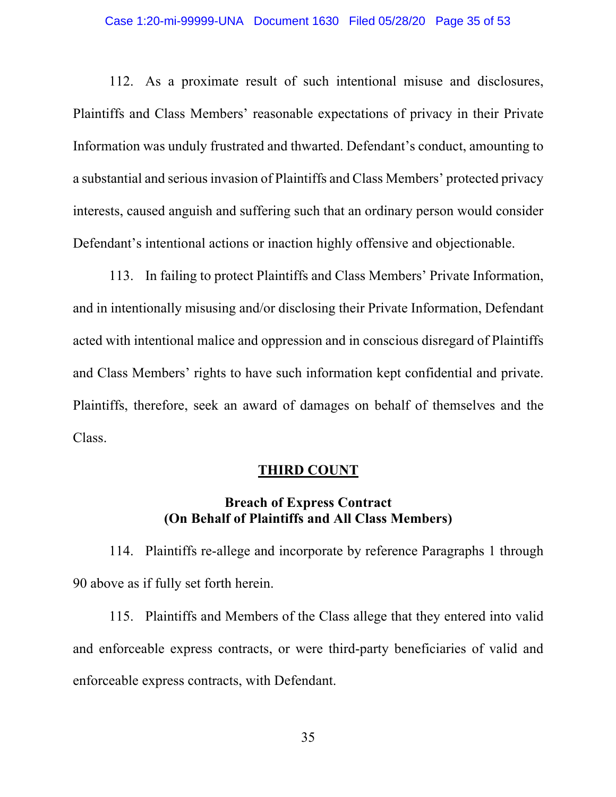## Case 1:20-mi-99999-UNA Document 1630 Filed 05/28/20 Page 35 of 53

112. As a proximate result of such intentional misuse and disclosures, Plaintiffs and Class Members' reasonable expectations of privacy in their Private Information was unduly frustrated and thwarted. Defendant's conduct, amounting to a substantial and serious invasion of Plaintiffs and Class Members' protected privacy interests, caused anguish and suffering such that an ordinary person would consider Defendant's intentional actions or inaction highly offensive and objectionable.

113. In failing to protect Plaintiffs and Class Members' Private Information, and in intentionally misusing and/or disclosing their Private Information, Defendant acted with intentional malice and oppression and in conscious disregard of Plaintiffs and Class Members' rights to have such information kept confidential and private. Plaintiffs, therefore, seek an award of damages on behalf of themselves and the Class.

## **THIRD COUNT**

## **Breach of Express Contract (On Behalf of Plaintiffs and All Class Members)**

114. Plaintiffs re-allege and incorporate by reference Paragraphs 1 through 90 above as if fully set forth herein.

115. Plaintiffs and Members of the Class allege that they entered into valid and enforceable express contracts, or were third-party beneficiaries of valid and enforceable express contracts, with Defendant.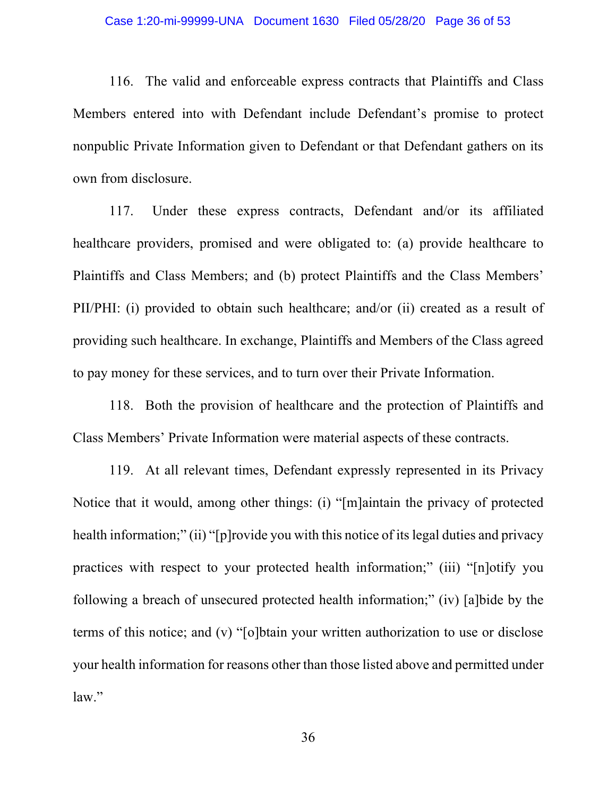116. The valid and enforceable express contracts that Plaintiffs and Class Members entered into with Defendant include Defendant's promise to protect nonpublic Private Information given to Defendant or that Defendant gathers on its own from disclosure.

117. Under these express contracts, Defendant and/or its affiliated healthcare providers, promised and were obligated to: (a) provide healthcare to Plaintiffs and Class Members; and (b) protect Plaintiffs and the Class Members' PII/PHI: (i) provided to obtain such healthcare; and/or (ii) created as a result of providing such healthcare. In exchange, Plaintiffs and Members of the Class agreed to pay money for these services, and to turn over their Private Information.

118. Both the provision of healthcare and the protection of Plaintiffs and Class Members' Private Information were material aspects of these contracts.

119. At all relevant times, Defendant expressly represented in its Privacy Notice that it would, among other things: (i) "[m]aintain the privacy of protected health information;" (ii) "[p]rovide you with this notice of its legal duties and privacy practices with respect to your protected health information;" (iii) "[n]otify you following a breach of unsecured protected health information;" (iv) [a]bide by the terms of this notice; and (v) "[o]btain your written authorization to use or disclose your health information for reasons other than those listed above and permitted under law."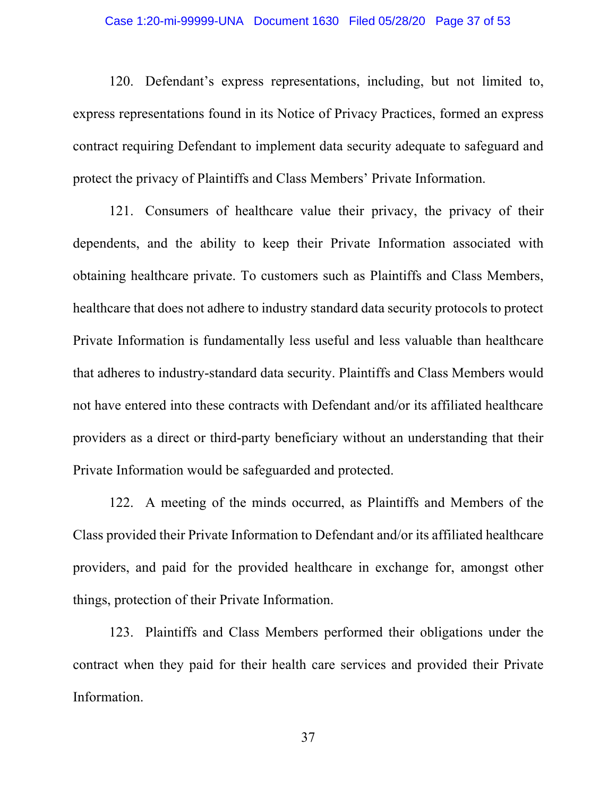## Case 1:20-mi-99999-UNA Document 1630 Filed 05/28/20 Page 37 of 53

120. Defendant's express representations, including, but not limited to, express representations found in its Notice of Privacy Practices, formed an express contract requiring Defendant to implement data security adequate to safeguard and protect the privacy of Plaintiffs and Class Members' Private Information.

121. Consumers of healthcare value their privacy, the privacy of their dependents, and the ability to keep their Private Information associated with obtaining healthcare private. To customers such as Plaintiffs and Class Members, healthcare that does not adhere to industry standard data security protocols to protect Private Information is fundamentally less useful and less valuable than healthcare that adheres to industry-standard data security. Plaintiffs and Class Members would not have entered into these contracts with Defendant and/or its affiliated healthcare providers as a direct or third-party beneficiary without an understanding that their Private Information would be safeguarded and protected.

122. A meeting of the minds occurred, as Plaintiffs and Members of the Class provided their Private Information to Defendant and/or its affiliated healthcare providers, and paid for the provided healthcare in exchange for, amongst other things, protection of their Private Information.

123. Plaintiffs and Class Members performed their obligations under the contract when they paid for their health care services and provided their Private Information.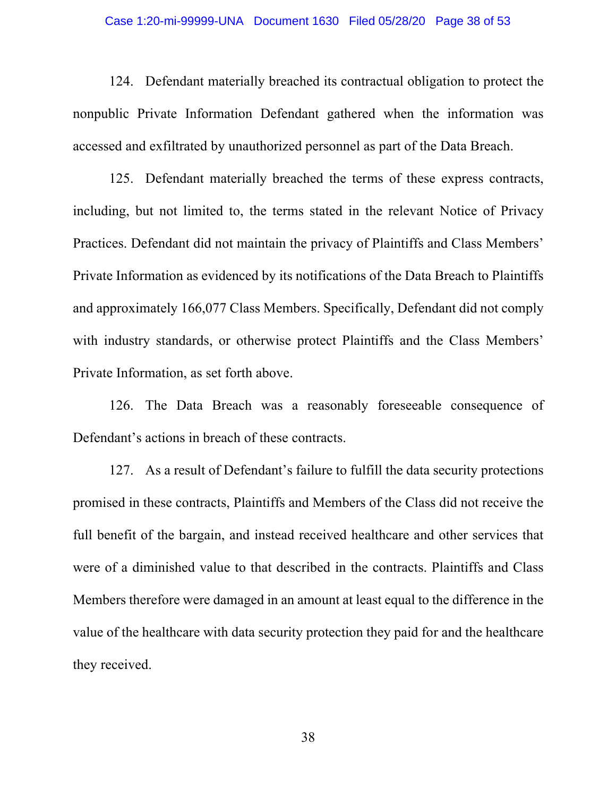## Case 1:20-mi-99999-UNA Document 1630 Filed 05/28/20 Page 38 of 53

124. Defendant materially breached its contractual obligation to protect the nonpublic Private Information Defendant gathered when the information was accessed and exfiltrated by unauthorized personnel as part of the Data Breach.

125. Defendant materially breached the terms of these express contracts, including, but not limited to, the terms stated in the relevant Notice of Privacy Practices. Defendant did not maintain the privacy of Plaintiffs and Class Members' Private Information as evidenced by its notifications of the Data Breach to Plaintiffs and approximately 166,077 Class Members. Specifically, Defendant did not comply with industry standards, or otherwise protect Plaintiffs and the Class Members' Private Information, as set forth above.

126. The Data Breach was a reasonably foreseeable consequence of Defendant's actions in breach of these contracts.

127. As a result of Defendant's failure to fulfill the data security protections promised in these contracts, Plaintiffs and Members of the Class did not receive the full benefit of the bargain, and instead received healthcare and other services that were of a diminished value to that described in the contracts. Plaintiffs and Class Members therefore were damaged in an amount at least equal to the difference in the value of the healthcare with data security protection they paid for and the healthcare they received.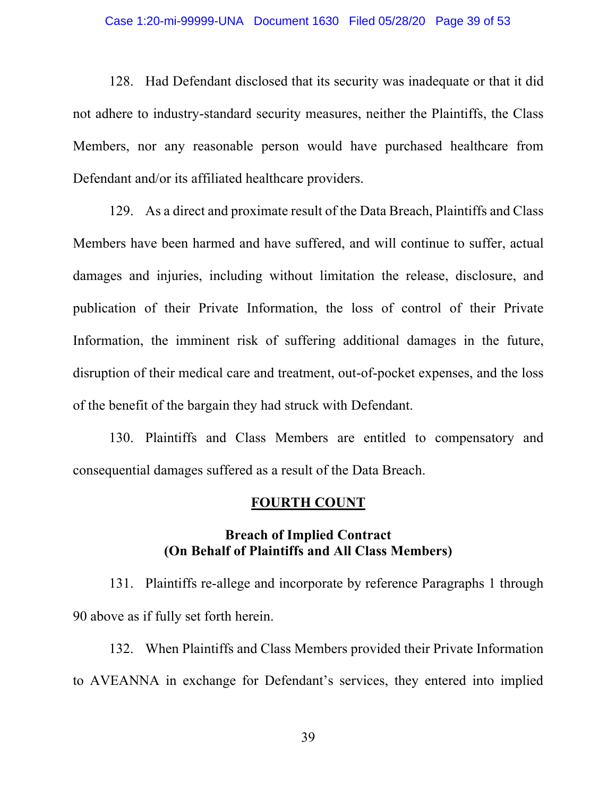## Case 1:20-mi-99999-UNA Document 1630 Filed 05/28/20 Page 39 of 53

128. Had Defendant disclosed that its security was inadequate or that it did not adhere to industry-standard security measures, neither the Plaintiffs, the Class Members, nor any reasonable person would have purchased healthcare from Defendant and/or its affiliated healthcare providers.

129. As a direct and proximate result of the Data Breach, Plaintiffs and Class Members have been harmed and have suffered, and will continue to suffer, actual damages and injuries, including without limitation the release, disclosure, and publication of their Private Information, the loss of control of their Private Information, the imminent risk of suffering additional damages in the future, disruption of their medical care and treatment, out-of-pocket expenses, and the loss of the benefit of the bargain they had struck with Defendant.

130. Plaintiffs and Class Members are entitled to compensatory and consequential damages suffered as a result of the Data Breach.

## **FOURTH COUNT**

## **Breach of Implied Contract (On Behalf of Plaintiffs and All Class Members)**

131. Plaintiffs re-allege and incorporate by reference Paragraphs 1 through 90 above as if fully set forth herein.

132. When Plaintiffs and Class Members provided their Private Information to AVEANNA in exchange for Defendant's services, they entered into implied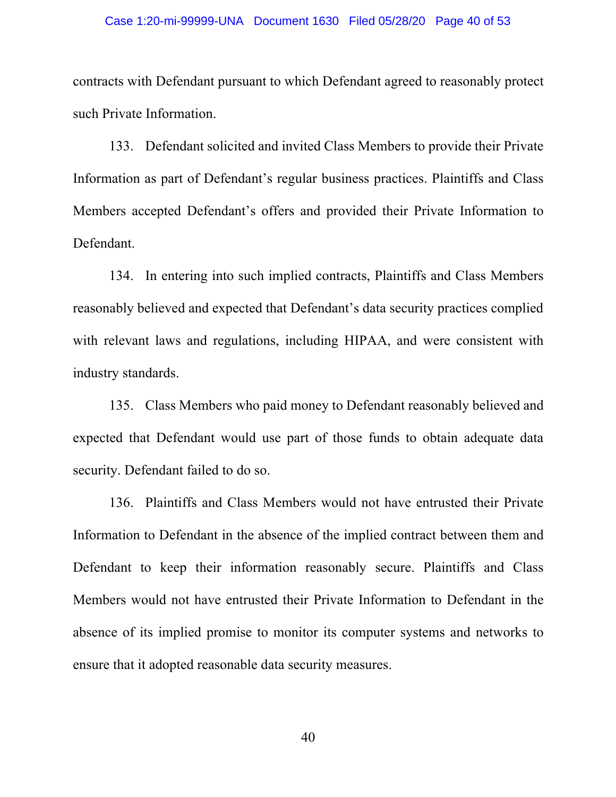## Case 1:20-mi-99999-UNA Document 1630 Filed 05/28/20 Page 40 of 53

contracts with Defendant pursuant to which Defendant agreed to reasonably protect such Private Information.

133. Defendant solicited and invited Class Members to provide their Private Information as part of Defendant's regular business practices. Plaintiffs and Class Members accepted Defendant's offers and provided their Private Information to Defendant.

134. In entering into such implied contracts, Plaintiffs and Class Members reasonably believed and expected that Defendant's data security practices complied with relevant laws and regulations, including HIPAA, and were consistent with industry standards.

135. Class Members who paid money to Defendant reasonably believed and expected that Defendant would use part of those funds to obtain adequate data security. Defendant failed to do so.

136. Plaintiffs and Class Members would not have entrusted their Private Information to Defendant in the absence of the implied contract between them and Defendant to keep their information reasonably secure. Plaintiffs and Class Members would not have entrusted their Private Information to Defendant in the absence of its implied promise to monitor its computer systems and networks to ensure that it adopted reasonable data security measures.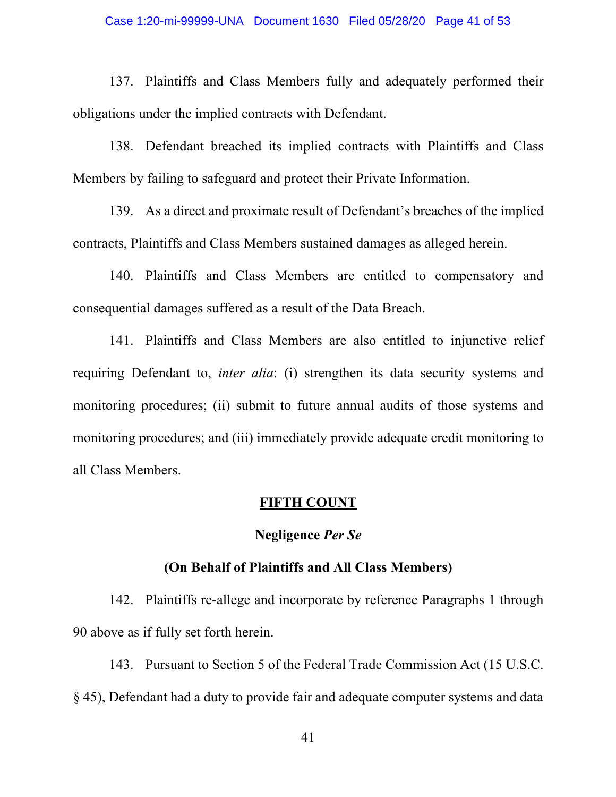137. Plaintiffs and Class Members fully and adequately performed their obligations under the implied contracts with Defendant.

138. Defendant breached its implied contracts with Plaintiffs and Class Members by failing to safeguard and protect their Private Information.

139. As a direct and proximate result of Defendant's breaches of the implied contracts, Plaintiffs and Class Members sustained damages as alleged herein.

140. Plaintiffs and Class Members are entitled to compensatory and consequential damages suffered as a result of the Data Breach.

141. Plaintiffs and Class Members are also entitled to injunctive relief requiring Defendant to, *inter alia*: (i) strengthen its data security systems and monitoring procedures; (ii) submit to future annual audits of those systems and monitoring procedures; and (iii) immediately provide adequate credit monitoring to all Class Members.

## **FIFTH COUNT**

## **Negligence** *Per Se*

## **(On Behalf of Plaintiffs and All Class Members)**

142. Plaintiffs re-allege and incorporate by reference Paragraphs 1 through 90 above as if fully set forth herein.

143. Pursuant to Section 5 of the Federal Trade Commission Act (15 U.S.C. § 45), Defendant had a duty to provide fair and adequate computer systems and data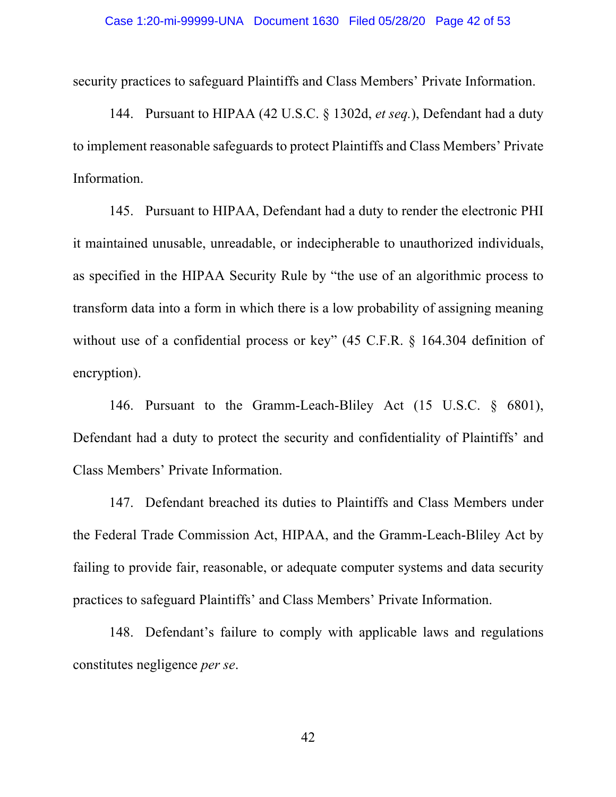security practices to safeguard Plaintiffs and Class Members' Private Information.

144. Pursuant to HIPAA (42 U.S.C. § 1302d, *et seq.*), Defendant had a duty to implement reasonable safeguards to protect Plaintiffs and Class Members' Private Information.

145. Pursuant to HIPAA, Defendant had a duty to render the electronic PHI it maintained unusable, unreadable, or indecipherable to unauthorized individuals, as specified in the HIPAA Security Rule by "the use of an algorithmic process to transform data into a form in which there is a low probability of assigning meaning without use of a confidential process or key" (45 C.F.R. § 164.304 definition of encryption).

146. Pursuant to the Gramm-Leach-Bliley Act (15 U.S.C. § 6801), Defendant had a duty to protect the security and confidentiality of Plaintiffs' and Class Members' Private Information.

147. Defendant breached its duties to Plaintiffs and Class Members under the Federal Trade Commission Act, HIPAA, and the Gramm-Leach-Bliley Act by failing to provide fair, reasonable, or adequate computer systems and data security practices to safeguard Plaintiffs' and Class Members' Private Information.

148. Defendant's failure to comply with applicable laws and regulations constitutes negligence *per se*.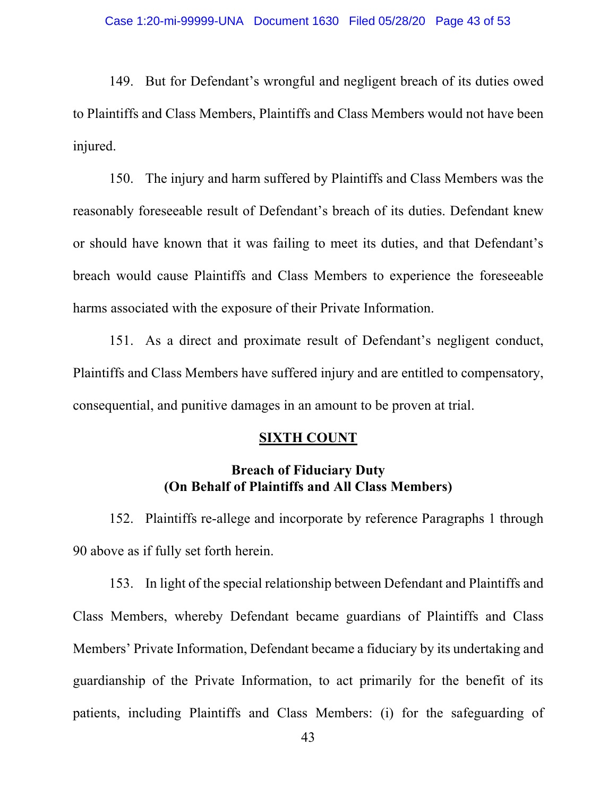149. But for Defendant's wrongful and negligent breach of its duties owed to Plaintiffs and Class Members, Plaintiffs and Class Members would not have been injured.

150. The injury and harm suffered by Plaintiffs and Class Members was the reasonably foreseeable result of Defendant's breach of its duties. Defendant knew or should have known that it was failing to meet its duties, and that Defendant's breach would cause Plaintiffs and Class Members to experience the foreseeable harms associated with the exposure of their Private Information.

151. As a direct and proximate result of Defendant's negligent conduct, Plaintiffs and Class Members have suffered injury and are entitled to compensatory, consequential, and punitive damages in an amount to be proven at trial.

## **SIXTH COUNT**

# **Breach of Fiduciary Duty (On Behalf of Plaintiffs and All Class Members)**

152. Plaintiffs re-allege and incorporate by reference Paragraphs 1 through 90 above as if fully set forth herein.

153. In light of the special relationship between Defendant and Plaintiffs and Class Members, whereby Defendant became guardians of Plaintiffs and Class Members' Private Information, Defendant became a fiduciary by its undertaking and guardianship of the Private Information, to act primarily for the benefit of its patients, including Plaintiffs and Class Members: (i) for the safeguarding of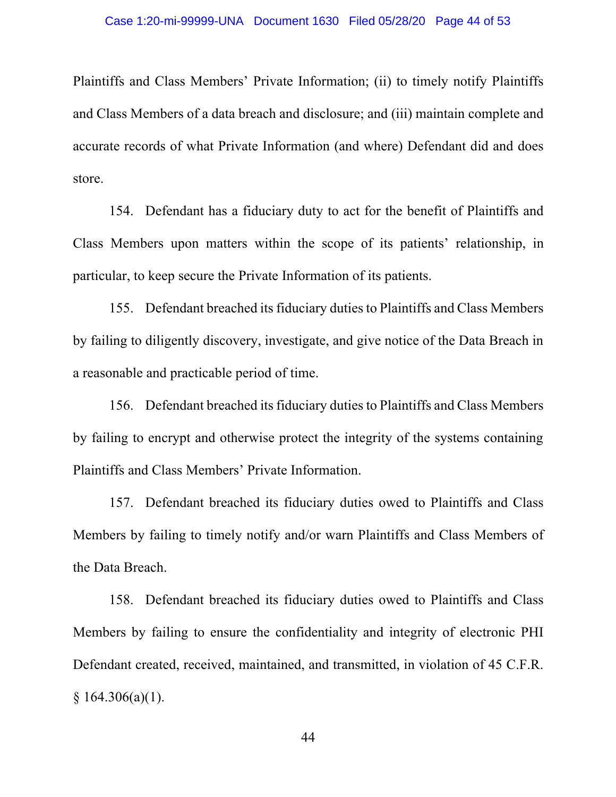Plaintiffs and Class Members' Private Information; (ii) to timely notify Plaintiffs and Class Members of a data breach and disclosure; and (iii) maintain complete and accurate records of what Private Information (and where) Defendant did and does store.

154. Defendant has a fiduciary duty to act for the benefit of Plaintiffs and Class Members upon matters within the scope of its patients' relationship, in particular, to keep secure the Private Information of its patients.

155. Defendant breached its fiduciary duties to Plaintiffs and Class Members by failing to diligently discovery, investigate, and give notice of the Data Breach in a reasonable and practicable period of time.

156. Defendant breached its fiduciary duties to Plaintiffs and Class Members by failing to encrypt and otherwise protect the integrity of the systems containing Plaintiffs and Class Members' Private Information.

157. Defendant breached its fiduciary duties owed to Plaintiffs and Class Members by failing to timely notify and/or warn Plaintiffs and Class Members of the Data Breach.

158. Defendant breached its fiduciary duties owed to Plaintiffs and Class Members by failing to ensure the confidentiality and integrity of electronic PHI Defendant created, received, maintained, and transmitted, in violation of 45 C.F.R.  $§ 164.306(a)(1).$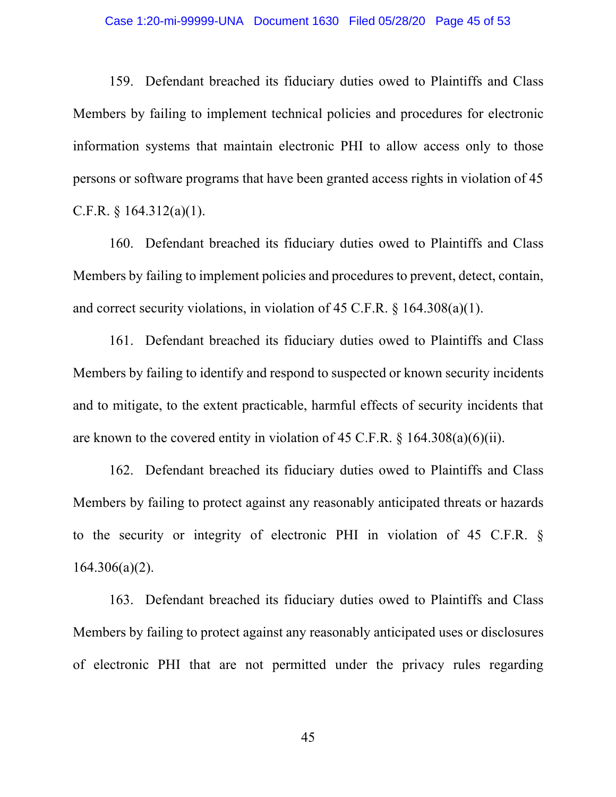## Case 1:20-mi-99999-UNA Document 1630 Filed 05/28/20 Page 45 of 53

159. Defendant breached its fiduciary duties owed to Plaintiffs and Class Members by failing to implement technical policies and procedures for electronic information systems that maintain electronic PHI to allow access only to those persons or software programs that have been granted access rights in violation of 45 C.F.R.  $§$  164.312(a)(1).

160. Defendant breached its fiduciary duties owed to Plaintiffs and Class Members by failing to implement policies and procedures to prevent, detect, contain, and correct security violations, in violation of 45 C.F.R. § 164.308(a)(1).

161. Defendant breached its fiduciary duties owed to Plaintiffs and Class Members by failing to identify and respond to suspected or known security incidents and to mitigate, to the extent practicable, harmful effects of security incidents that are known to the covered entity in violation of 45 C.F.R. § 164.308(a)(6)(ii).

162. Defendant breached its fiduciary duties owed to Plaintiffs and Class Members by failing to protect against any reasonably anticipated threats or hazards to the security or integrity of electronic PHI in violation of 45 C.F.R. §  $164.306(a)(2)$ .

163. Defendant breached its fiduciary duties owed to Plaintiffs and Class Members by failing to protect against any reasonably anticipated uses or disclosures of electronic PHI that are not permitted under the privacy rules regarding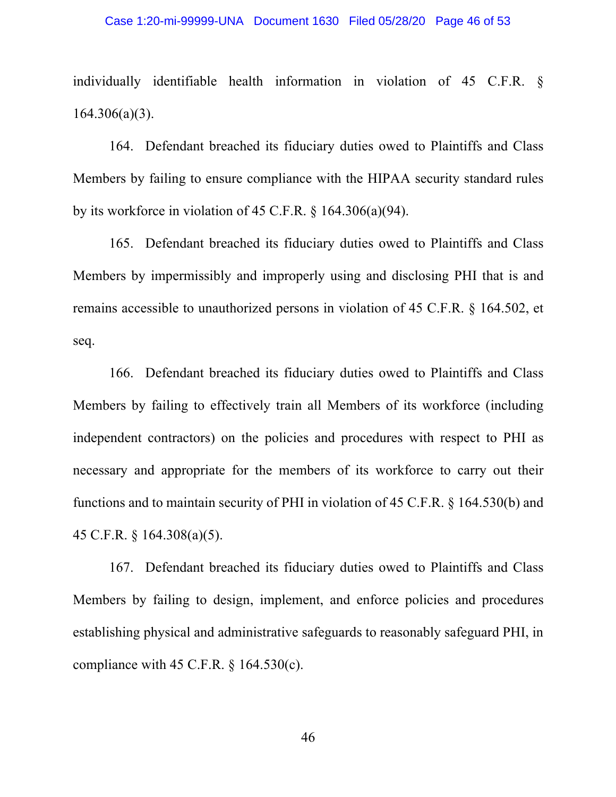## Case 1:20-mi-99999-UNA Document 1630 Filed 05/28/20 Page 46 of 53

individually identifiable health information in violation of 45 C.F.R. § 164.306(a)(3).

164. Defendant breached its fiduciary duties owed to Plaintiffs and Class Members by failing to ensure compliance with the HIPAA security standard rules by its workforce in violation of 45 C.F.R. § 164.306(a)(94).

165. Defendant breached its fiduciary duties owed to Plaintiffs and Class Members by impermissibly and improperly using and disclosing PHI that is and remains accessible to unauthorized persons in violation of 45 C.F.R. § 164.502, et seq.

166. Defendant breached its fiduciary duties owed to Plaintiffs and Class Members by failing to effectively train all Members of its workforce (including independent contractors) on the policies and procedures with respect to PHI as necessary and appropriate for the members of its workforce to carry out their functions and to maintain security of PHI in violation of 45 C.F.R. § 164.530(b) and 45 C.F.R. § 164.308(a)(5).

167. Defendant breached its fiduciary duties owed to Plaintiffs and Class Members by failing to design, implement, and enforce policies and procedures establishing physical and administrative safeguards to reasonably safeguard PHI, in compliance with 45 C.F.R.  $\S$  164.530(c).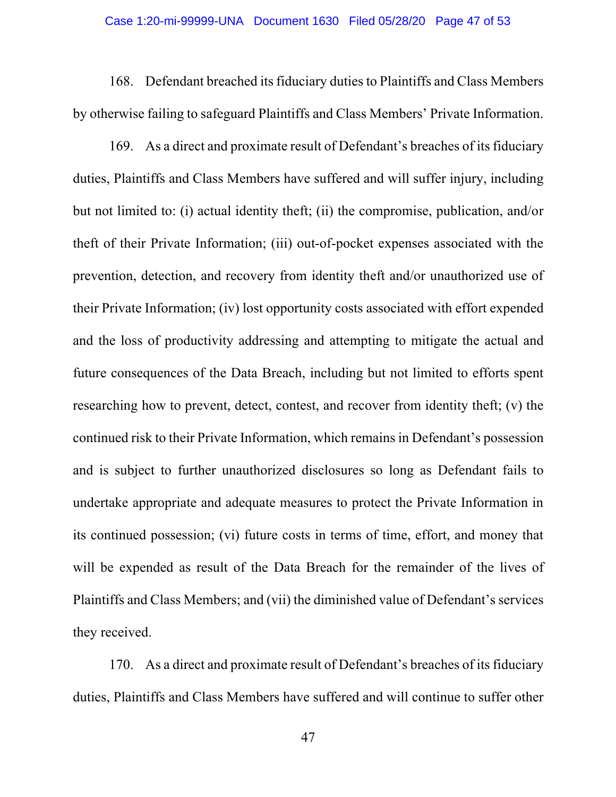## Case 1:20-mi-99999-UNA Document 1630 Filed 05/28/20 Page 47 of 53

168. Defendant breached its fiduciary duties to Plaintiffs and Class Members by otherwise failing to safeguard Plaintiffs and Class Members' Private Information.

169. As a direct and proximate result of Defendant's breaches of its fiduciary duties, Plaintiffs and Class Members have suffered and will suffer injury, including but not limited to: (i) actual identity theft; (ii) the compromise, publication, and/or theft of their Private Information; (iii) out-of-pocket expenses associated with the prevention, detection, and recovery from identity theft and/or unauthorized use of their Private Information; (iv) lost opportunity costs associated with effort expended and the loss of productivity addressing and attempting to mitigate the actual and future consequences of the Data Breach, including but not limited to efforts spent researching how to prevent, detect, contest, and recover from identity theft; (v) the continued risk to their Private Information, which remains in Defendant's possession and is subject to further unauthorized disclosures so long as Defendant fails to undertake appropriate and adequate measures to protect the Private Information in its continued possession; (vi) future costs in terms of time, effort, and money that will be expended as result of the Data Breach for the remainder of the lives of Plaintiffs and Class Members; and (vii) the diminished value of Defendant's services they received.

170. As a direct and proximate result of Defendant's breaches of its fiduciary duties, Plaintiffs and Class Members have suffered and will continue to suffer other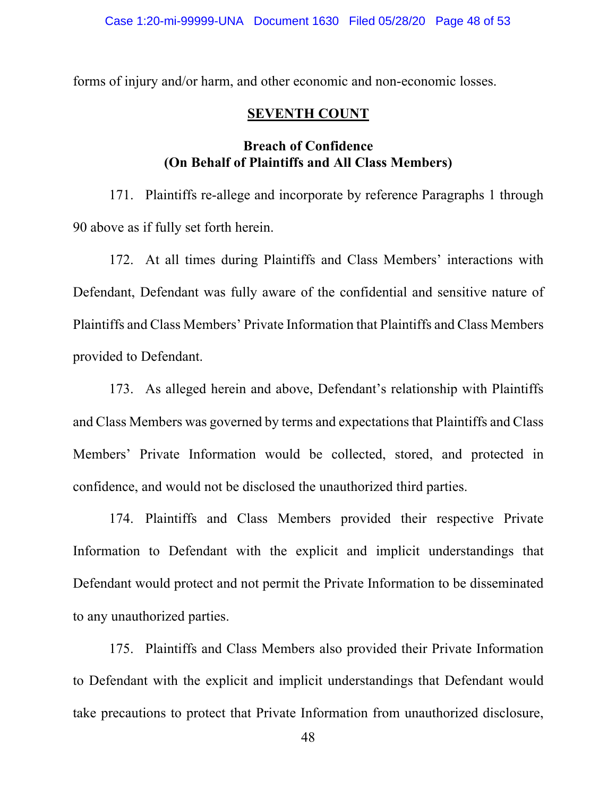forms of injury and/or harm, and other economic and non-economic losses.

## **SEVENTH COUNT**

# **Breach of Confidence (On Behalf of Plaintiffs and All Class Members)**

171. Plaintiffs re-allege and incorporate by reference Paragraphs 1 through 90 above as if fully set forth herein.

172. At all times during Plaintiffs and Class Members' interactions with Defendant, Defendant was fully aware of the confidential and sensitive nature of Plaintiffs and Class Members' Private Information that Plaintiffs and Class Members provided to Defendant.

173. As alleged herein and above, Defendant's relationship with Plaintiffs and Class Members was governed by terms and expectations that Plaintiffs and Class Members' Private Information would be collected, stored, and protected in confidence, and would not be disclosed the unauthorized third parties.

174. Plaintiffs and Class Members provided their respective Private Information to Defendant with the explicit and implicit understandings that Defendant would protect and not permit the Private Information to be disseminated to any unauthorized parties.

175. Plaintiffs and Class Members also provided their Private Information to Defendant with the explicit and implicit understandings that Defendant would take precautions to protect that Private Information from unauthorized disclosure,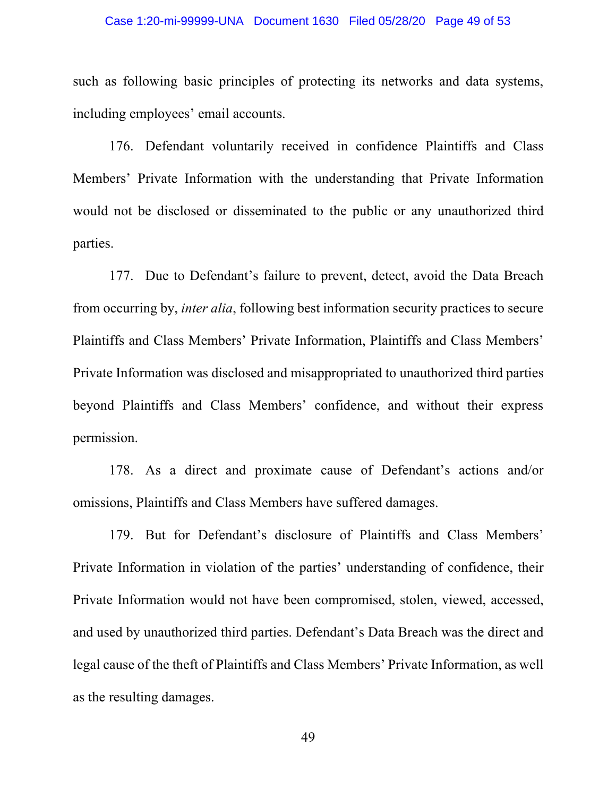## Case 1:20-mi-99999-UNA Document 1630 Filed 05/28/20 Page 49 of 53

such as following basic principles of protecting its networks and data systems, including employees' email accounts.

176. Defendant voluntarily received in confidence Plaintiffs and Class Members' Private Information with the understanding that Private Information would not be disclosed or disseminated to the public or any unauthorized third parties.

177. Due to Defendant's failure to prevent, detect, avoid the Data Breach from occurring by, *inter alia*, following best information security practices to secure Plaintiffs and Class Members' Private Information, Plaintiffs and Class Members' Private Information was disclosed and misappropriated to unauthorized third parties beyond Plaintiffs and Class Members' confidence, and without their express permission.

178. As a direct and proximate cause of Defendant's actions and/or omissions, Plaintiffs and Class Members have suffered damages.

179. But for Defendant's disclosure of Plaintiffs and Class Members' Private Information in violation of the parties' understanding of confidence, their Private Information would not have been compromised, stolen, viewed, accessed, and used by unauthorized third parties. Defendant's Data Breach was the direct and legal cause of the theft of Plaintiffs and Class Members' Private Information, as well as the resulting damages.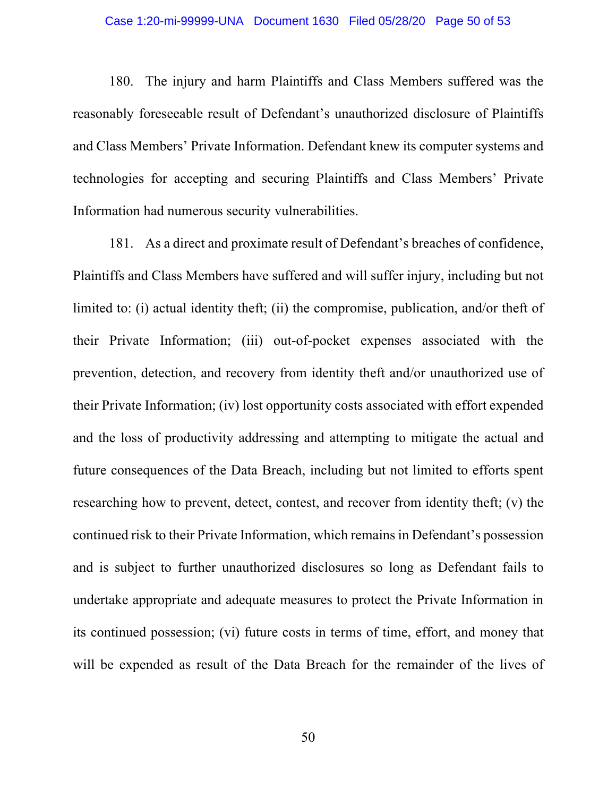## Case 1:20-mi-99999-UNA Document 1630 Filed 05/28/20 Page 50 of 53

180. The injury and harm Plaintiffs and Class Members suffered was the reasonably foreseeable result of Defendant's unauthorized disclosure of Plaintiffs and Class Members' Private Information. Defendant knew its computer systems and technologies for accepting and securing Plaintiffs and Class Members' Private Information had numerous security vulnerabilities.

181. As a direct and proximate result of Defendant's breaches of confidence, Plaintiffs and Class Members have suffered and will suffer injury, including but not limited to: (i) actual identity theft; (ii) the compromise, publication, and/or theft of their Private Information; (iii) out-of-pocket expenses associated with the prevention, detection, and recovery from identity theft and/or unauthorized use of their Private Information; (iv) lost opportunity costs associated with effort expended and the loss of productivity addressing and attempting to mitigate the actual and future consequences of the Data Breach, including but not limited to efforts spent researching how to prevent, detect, contest, and recover from identity theft; (v) the continued risk to their Private Information, which remains in Defendant's possession and is subject to further unauthorized disclosures so long as Defendant fails to undertake appropriate and adequate measures to protect the Private Information in its continued possession; (vi) future costs in terms of time, effort, and money that will be expended as result of the Data Breach for the remainder of the lives of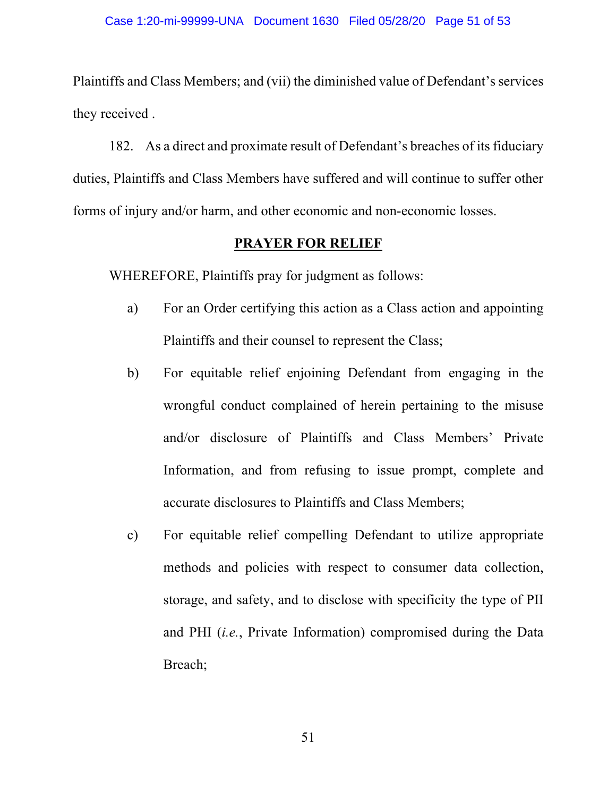Plaintiffs and Class Members; and (vii) the diminished value of Defendant's services they received .

182. As a direct and proximate result of Defendant's breaches of its fiduciary duties, Plaintiffs and Class Members have suffered and will continue to suffer other forms of injury and/or harm, and other economic and non-economic losses.

## **PRAYER FOR RELIEF**

WHEREFORE, Plaintiffs pray for judgment as follows:

- a) For an Order certifying this action as a Class action and appointing Plaintiffs and their counsel to represent the Class;
- b) For equitable relief enjoining Defendant from engaging in the wrongful conduct complained of herein pertaining to the misuse and/or disclosure of Plaintiffs and Class Members' Private Information, and from refusing to issue prompt, complete and accurate disclosures to Plaintiffs and Class Members;
- c) For equitable relief compelling Defendant to utilize appropriate methods and policies with respect to consumer data collection, storage, and safety, and to disclose with specificity the type of PII and PHI (*i.e.*, Private Information) compromised during the Data Breach;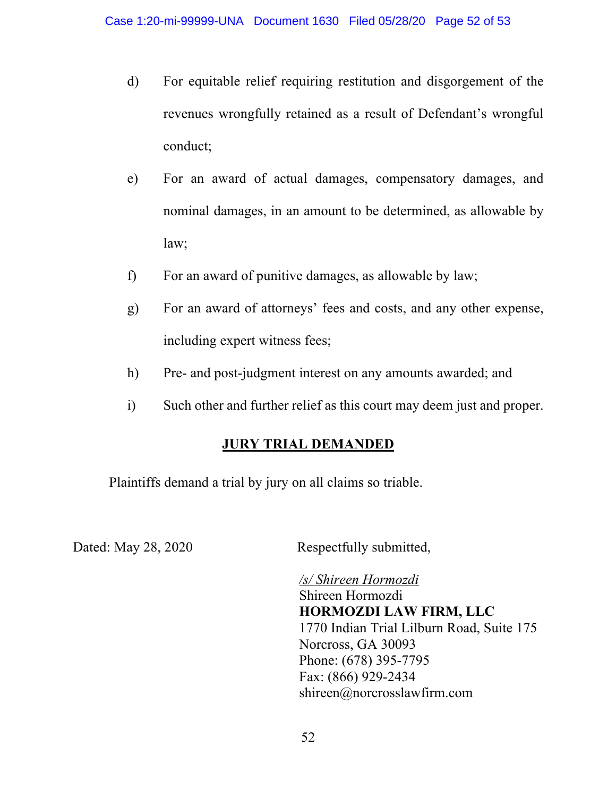- d) For equitable relief requiring restitution and disgorgement of the revenues wrongfully retained as a result of Defendant's wrongful conduct;
- e) For an award of actual damages, compensatory damages, and nominal damages, in an amount to be determined, as allowable by law;
- f) For an award of punitive damages, as allowable by law;
- g) For an award of attorneys' fees and costs, and any other expense, including expert witness fees;
- h) Pre- and post-judgment interest on any amounts awarded; and
- i) Such other and further relief as this court may deem just and proper.

# **JURY TRIAL DEMANDED**

Plaintiffs demand a trial by jury on all claims so triable.

Dated: May 28, 2020 Respectfully submitted,

*/s/ Shireen Hormozdi*  Shireen Hormozdi **HORMOZDI LAW FIRM, LLC** 1770 Indian Trial Lilburn Road, Suite 175 Norcross, GA 30093 Phone: (678) 395-7795 Fax: (866) 929-2434 shireen@norcrosslawfirm.com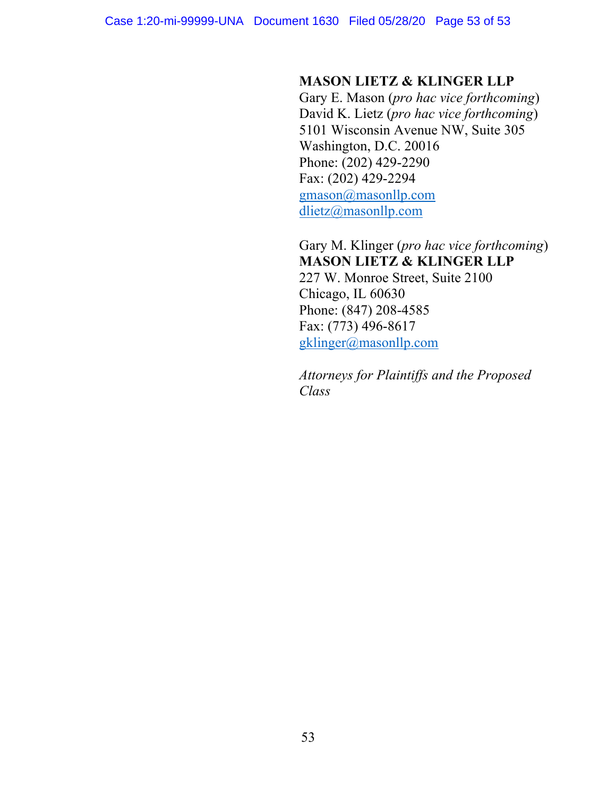# **MASON LIETZ & KLINGER LLP**

Gary E. Mason (*pro hac vice forthcoming*) David K. Lietz (*pro hac vice forthcoming*) 5101 Wisconsin Avenue NW, Suite 305 Washington, D.C. 20016 Phone: (202) 429-2290 Fax: (202) 429-2294 gmason@masonllp.com dlietz@masonllp.com

Gary M. Klinger (*pro hac vice forthcoming*) **MASON LIETZ & KLINGER LLP**

227 W. Monroe Street, Suite 2100 Chicago, IL 60630 Phone: (847) 208-4585 Fax: (773) 496-8617 gklinger@masonllp.com

*Attorneys for Plaintiffs and the Proposed Class*